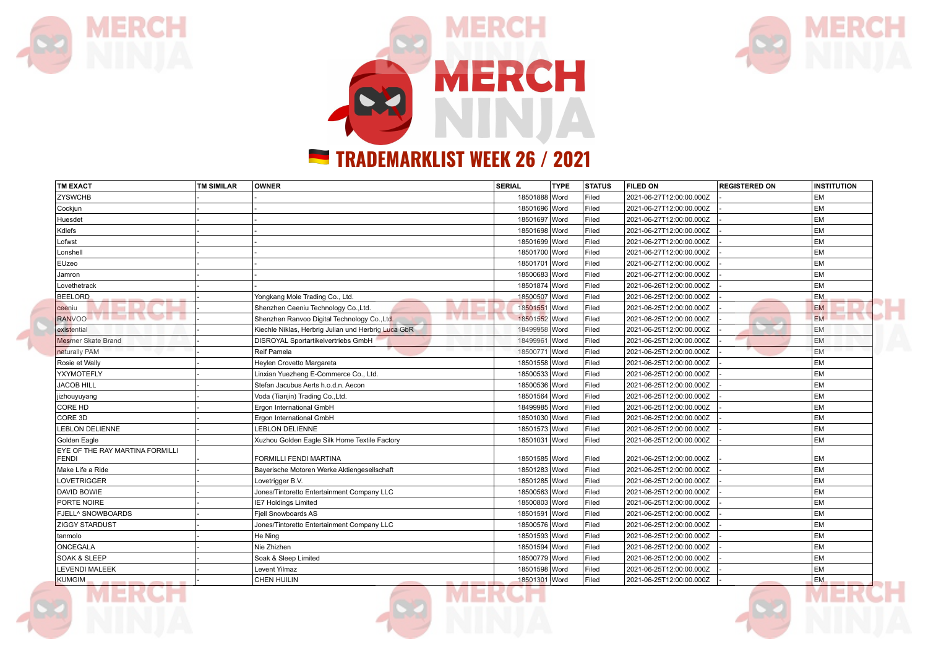

MERCH





## **TRADEMARKLIST WEEK 26 / 2021**

| <b>TM EXACT</b>                                       | <b>TM SIMILAR</b> | OWNER                                                            | <b>SERIAL</b> | <b>TYPE</b> | <b>STATUS</b> | <b>FILED ON</b>          | <b>REGISTERED ON</b> | <b>INSTITUTION</b> |
|-------------------------------------------------------|-------------------|------------------------------------------------------------------|---------------|-------------|---------------|--------------------------|----------------------|--------------------|
| <b>ZYSWCHB</b>                                        |                   |                                                                  | 18501888 Word |             | Filed         | 2021-06-27T12:00:00.000Z |                      | <b>EM</b>          |
| Cockjun                                               |                   |                                                                  | 18501696 Word |             | Filed         | 2021-06-27T12:00:00.000Z |                      | <b>EM</b>          |
| Huesdet                                               |                   |                                                                  | 18501697 Word |             | Filed         | 2021-06-27T12:00:00.000Z |                      | <b>EM</b>          |
| Kdlefs                                                |                   |                                                                  | 18501698 Word |             | Filed         | 2021-06-27T12:00:00.000Z |                      | <b>EM</b>          |
| Lofwst                                                |                   |                                                                  | 18501699 Word |             | Filed         | 2021-06-27T12:00:00.000Z |                      | <b>EM</b>          |
| Lonshell                                              |                   |                                                                  | 18501700 Word |             | Filed         | 2021-06-27T12:00:00.000Z |                      | <b>EM</b>          |
| EUzeo                                                 |                   |                                                                  | 18501701 Word |             | Filed         | 2021-06-27T12:00:00.000Z |                      | <b>EM</b>          |
| Jamron                                                |                   |                                                                  | 18500683 Word |             | Filed         | 2021-06-27T12:00:00.000Z |                      | <b>EM</b>          |
| Lovethetrack                                          |                   |                                                                  | 18501874 Word |             | Filed         | 2021-06-26T12:00:00.000Z |                      | <b>EM</b>          |
| BEELORD                                               |                   | Yongkang Mole Trading Co., Ltd.                                  | 18500507 Word |             | Filed         | 2021-06-25T12:00:00.000Z |                      | <b>EM</b>          |
| ceeniu                                                |                   | Shenzhen Ceeniu Technology Co., Ltd.                             | 18501551 Word |             | Filed         | 2021-06-25T12:00:00.000Z |                      | <b>EM</b>          |
| RANVOO <b>TALLET DE CARDINAL AND DE CARDINAL CARD</b> |                   | <b>AVAILABLE</b><br>Shenzhen Ranvoo Digital Technology Co., Ltd. | 18501552 Word |             | Filed         | 2021-06-25T12:00:00.000Z |                      | <b>EM</b><br>.     |
| existential                                           |                   | Kiechle Niklas, Herbrig Julian und Herbrig Luca GbR              | 18499958 Word |             | Filed         | 2021-06-25T12:00:00.000Z |                      | <b>EM</b>          |
| Mesmer Skate Brand                                    |                   | <b>DISROYAL Sportartikelvertriebs GmbH</b>                       | 18499961 Word |             | Filed         | 2021-06-25T12:00:00.000Z |                      | EM                 |
| naturally PAM                                         |                   | Reif Pamela                                                      | 18500771 Word |             | Filed         | 2021-06-25T12:00:00.000Z |                      | <b>EM</b>          |
| Rosie et Wally                                        |                   | Heylen Crovetto Margareta                                        | 18501558 Word |             | Filed         | 2021-06-25T12:00:00.000Z |                      | <b>EM</b>          |
| YXYMOTEFLY                                            |                   | Linxian Yuezheng E-Commerce Co., Ltd.                            | 18500533 Word |             | Filed         | 2021-06-25T12:00:00.000Z |                      | <b>EM</b>          |
| <b>JACOB HILL</b>                                     |                   | Stefan Jacubus Aerts h.o.d.n. Aecon                              | 18500536 Word |             | Filed         | 2021-06-25T12:00:00.000Z |                      | <b>EM</b>          |
| jizhouyuyang                                          |                   | Voda (Tianjin) Trading Co., Ltd.                                 | 18501564 Word |             | Filed         | 2021-06-25T12:00:00.000Z |                      | <b>EM</b>          |
| CORE HD                                               |                   | Ergon International GmbH                                         | 18499985 Word |             | Filed         | 2021-06-25T12:00:00.000Z |                      | <b>EM</b>          |
| CORE 3D                                               |                   | Ergon International GmbH                                         | 18501030 Word |             | Filed         | 2021-06-25T12:00:00.000Z |                      | <b>EM</b>          |
| LEBLON DELIENNE                                       |                   | <b>LEBLON DELIENNE</b>                                           | 18501573 Word |             | Filed         | 2021-06-25T12:00:00.000Z |                      | <b>EM</b>          |
| Golden Eagle                                          |                   | Xuzhou Golden Eagle Silk Home Textile Factory                    | 18501031 Word |             | Filed         | 2021-06-25T12:00:00.000Z |                      | <b>EM</b>          |
| EYE OF THE RAY MARTINA FORMILLI<br><b>FENDI</b>       |                   | <b>FORMILLI FENDI MARTINA</b>                                    | 18501585 Word |             | Filed         | 2021-06-25T12:00:00.000Z |                      | <b>EM</b>          |
| Make Life a Ride                                      |                   | Bayerische Motoren Werke Aktiengesellschaft                      | 18501283 Word |             | Filed         | 2021-06-25T12:00:00.000Z |                      | <b>EM</b>          |
| LOVETRIGGER                                           |                   | Lovetrigger B.V.                                                 | 18501285 Word |             | Filed         | 2021-06-25T12:00:00.000Z |                      | <b>EM</b>          |
| <b>DAVID BOWIE</b>                                    |                   | Jones/Tintoretto Entertainment Company LLC                       | 18500563 Word |             | Filed         | 2021-06-25T12:00:00.000Z |                      | <b>EM</b>          |
| PORTE NOIRE                                           |                   | IE7 Holdings Limited                                             | 18500803 Word |             | Filed         | 2021-06-25T12:00:00.000Z |                      | <b>EM</b>          |
| <b>FJELL^ SNOWBOARDS</b>                              |                   | Fiell Snowboards AS                                              | 18501591 Word |             | Filed         | 2021-06-25T12:00:00.000Z |                      | <b>EM</b>          |
| <b>ZIGGY STARDUST</b>                                 |                   | Jones/Tintoretto Entertainment Company LLC                       | 18500576 Word |             | Filed         | 2021-06-25T12:00:00.000Z |                      | <b>EM</b>          |
| tanmolo                                               |                   | He Ning                                                          | 18501593 Word |             | Filed         | 2021-06-25T12:00:00.000Z |                      | <b>EM</b>          |
| ONCEGALA                                              |                   | Nie Zhizhen                                                      | 18501594 Word |             | Filed         | 2021-06-25T12:00:00.000Z |                      | <b>EM</b>          |
| <b>SOAK &amp; SLEEP</b>                               |                   | Soak & Sleep Limited                                             | 18500779 Word |             | Filed         | 2021-06-25T12:00:00.000Z |                      | <b>EM</b>          |
| <b>LEVENDI MALEEK</b>                                 |                   | Levent Yilmaz                                                    | 18501598 Word |             | Filed         | 2021-06-25T12:00:00.000Z |                      | <b>EM</b>          |
| <b>KUMGIM</b><br>and several process. After the co-   |                   | <b>CHEN HUILIN</b><br>state and state                            | 18501301 Word |             | Filed         | 2021-06-25T12:00:00.000Z |                      | <b>EM</b>          |

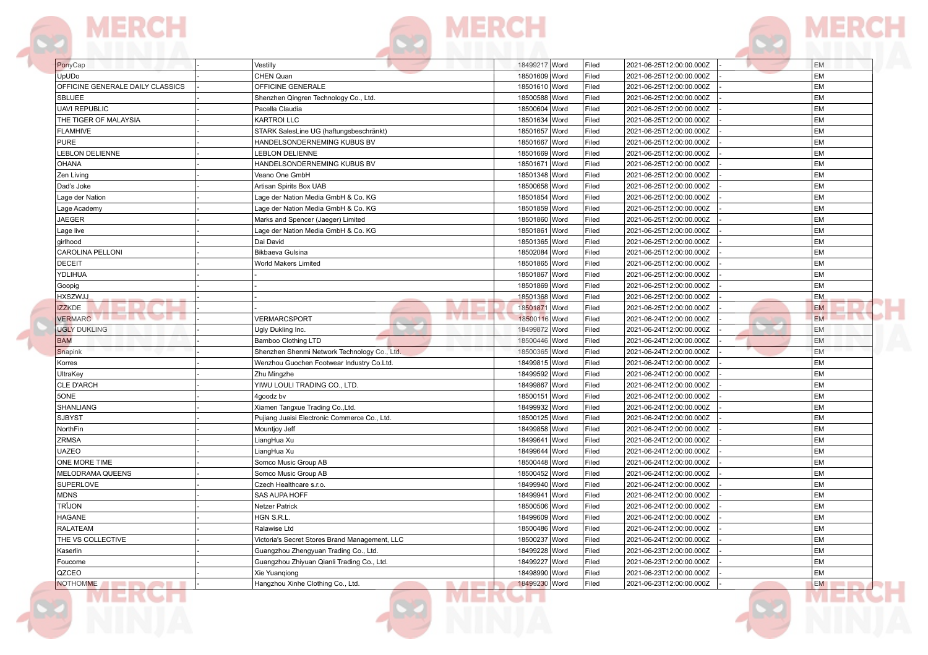



| PonyCap                                | Vestilly                                        | 18499217 Word<br>Filed | 2021-06-25T12:00:00.000Z | <b>EM</b> |
|----------------------------------------|-------------------------------------------------|------------------------|--------------------------|-----------|
| UpUDo                                  | CHEN Quan                                       | 18501609 Word<br>Filed | 2021-06-25T12:00:00.000Z | EM        |
| OFFICINE GENERALE DAILY CLASSICS       | OFFICINE GENERALE                               | 18501610 Word<br>Filed | 2021-06-25T12:00:00.000Z | EM        |
| SBLUEE                                 | Shenzhen Qingren Technology Co., Ltd.           | 18500588 Word<br>Filed | 2021-06-25T12:00:00.000Z | EM        |
| <b>UAVI REPUBLIC</b>                   | Pacella Claudia                                 | 18500604 Word<br>Filed | 2021-06-25T12:00:00.000Z | EM        |
| THE TIGER OF MALAYSIA                  | <b>KARTROI LLC</b>                              | 18501634 Word<br>Filed | 2021-06-25T12:00:00.000Z | EM        |
| <b>FLAMHIVE</b>                        | STARK SalesLine UG (haftungsbeschränkt)         | 18501657 Word<br>Filed | 2021-06-25T12:00:00.000Z | EM        |
| <b>PURE</b>                            | HANDELSONDERNEMING KUBUS BV                     | 18501667 Word<br>Filed | 2021-06-25T12:00:00.000Z | EM        |
| <b>LEBLON DELIENNE</b>                 | <b>LEBLON DELIENNE</b>                          | 18501669 Word<br>Filed | 2021-06-25T12:00:00.000Z | EM        |
| OHANA                                  | HANDELSONDERNEMING KUBUS BV                     | Filed<br>18501671 Word | 2021-06-25T12:00:00.000Z | EM        |
| Zen Living                             | Veano One GmbH                                  | 18501348 Word<br>Filed | 2021-06-25T12:00:00.000Z | EM        |
| Dad's Joke                             | Artisan Spirits Box UAB                         | 18500658 Word<br>Filed | 2021-06-25T12:00:00.000Z | EM        |
| Lage der Nation                        | Lage der Nation Media GmbH & Co. KG             | 18501854 Word<br>Filed | 2021-06-25T12:00:00.000Z | EM        |
| Lage Academy                           | Lage der Nation Media GmbH & Co. KG             | 18501859 Word<br>Filed | 2021-06-25T12:00:00.000Z | EM        |
| JAEGER                                 | Marks and Spencer (Jaeger) Limited              | 18501860 Word<br>Filed | 2021-06-25T12:00:00.000Z | EM        |
| Lage live                              | Lage der Nation Media GmbH & Co. KG             | Filed<br>18501861 Word | 2021-06-25T12:00:00.000Z | EM        |
| girlhood                               | Dai David                                       | 18501365 Word<br>Filed | 2021-06-25T12:00:00.000Z | EM        |
| <b>CAROLINA PELLONI</b>                | Bikbaeva Gulsina                                | 18502084 Word<br>Filed | 2021-06-25T12:00:00.000Z | EM        |
| <b>DECEIT</b>                          | World Makers Limited                            | 18501865 Word<br>Filed | 2021-06-25T12:00:00.000Z | EM        |
| YDLIHUA                                |                                                 | 18501867 Word<br>Filed | 2021-06-25T12:00:00.000Z | EM        |
| Goopig                                 |                                                 | 18501869 Word<br>Filed | 2021-06-25T12:00:00.000Z | EM        |
| <b>HXSZWJJ</b>                         |                                                 | 18501368 Word<br>Filed | 2021-06-25T12:00:00.000Z | EM        |
| <b>IZZKDE</b>                          |                                                 | 18501871 Word<br>Filed | 2021-06-25T12:00:00.000Z | <b>EM</b> |
| <b>VERMARC DESCRIPTION OF PROPERTY</b> | . <del>.</del><br><b>VERMARCSPORT</b>           | 18500116 Word<br>Filed | 2021-06-24T12:00:00.000Z | EM.       |
| <b>UGLY DUKLING</b>                    | Ugly Dukling Inc.                               | 18499872 Word<br>Filed | 2021-06-24T12:00:00.000Z | EM        |
| <b>BAM</b>                             | Bamboo Clothing LTD                             | 18500446 Word<br>Filed | 2021-06-24T12:00:00.000Z | EM        |
| Snapink                                | Shenzhen Shenmi Network Technology Co., Ltd.    | 18500365 Word<br>Filed | 2021-06-24T12:00:00.000Z | <b>EM</b> |
| Korres                                 | Wenzhou Guochen Footwear Industry Co.Ltd.       | 18499815 Word<br>Filed | 2021-06-24T12:00:00.000Z | EM        |
| UltraKey                               | Zhu Mingzhe                                     | 18499592 Word<br>Filed | 2021-06-24T12:00:00.000Z | EM        |
| <b>CLE D'ARCH</b>                      | YIWU LOULI TRADING CO., LTD.                    | 18499867 Word<br>Filed | 2021-06-24T12:00:00.000Z | EM        |
| 5ONE                                   | 4goodz bv                                       | 18500151 Word<br>Filed | 2021-06-24T12:00:00.000Z | EM        |
| SHANLIANG                              | Xiamen Tangxue Trading Co., Ltd.                | Filed<br>18499932 Word | 2021-06-24T12:00:00.000Z | EM        |
| <b>SJBYST</b>                          | Pujiang Juaisi Electronic Commerce Co., Ltd.    | 18500125 Word<br>Filed | 2021-06-24T12:00:00.000Z | EM        |
| NorthFin                               | Mountjoy Jeff                                   | 18499858 Word<br>Filed | 2021-06-24T12:00:00.000Z | EM        |
| ZRMSA                                  | LiangHua Xu                                     | Filed<br>18499641 Word | 2021-06-24T12:00:00.000Z | EM        |
| <b>UAZEO</b>                           | LiangHua Xu                                     | 18499644 Word<br>Filed | 2021-06-24T12:00:00.000Z | EM        |
| ONE MORE TIME                          | Somco Music Group AB                            | 18500448 Word<br>Filed | 2021-06-24T12:00:00.000Z | EM        |
| MELODRAMA QUEENS                       | Somco Music Group AB                            | Filed<br>18500452 Word | 2021-06-24T12:00:00.000Z | EM        |
| <b>SUPERLOVE</b>                       | Czech Healthcare s.r.o.                         | 18499940 Word<br>Filed | 2021-06-24T12:00:00.000Z | EM        |
| <b>MDNS</b>                            | SAS AUPA HOFF                                   | 18499941 Word<br>Filed | 2021-06-24T12:00:00.000Z | EM        |
| TRÎJON                                 | Netzer Patrick                                  | 18500506 Word<br>Filed | 2021-06-24T12:00:00.000Z | EM        |
| HAGANE                                 | HGN S.R.L.                                      | Filed<br>18499609 Word | 2021-06-24T12:00:00.000Z | EM        |
| RALATEAM                               | Ralawise Ltd                                    | 18500486 Word<br>Filed | 2021-06-24T12:00:00.000Z | EM        |
| THE VS COLLECTIVE                      | Victoria's Secret Stores Brand Management, LLC  | 18500237 Word<br>Filed | 2021-06-24T12:00:00.000Z | EM        |
| Kaserlin                               | Guangzhou Zhengyuan Trading Co., Ltd.           | 18499228 Word<br>Filed | 2021-06-23T12:00:00.000Z | EM        |
| Foucome                                | Guangzhou Zhiyuan Qianli Trading Co., Ltd.      | 18499227 Word<br>Filed | 2021-06-23T12:00:00.000Z | EM        |
| QZCEO                                  | Xie Yuanqiong                                   | 18498990 Word<br>Filed | 2021-06-23T12:00:00.000Z | EM        |
| <b>NOTHOMME</b>                        | Hangzhou Xinhe Clothing Co., Ltd.<br><b>All</b> | 18499230 Word<br>Filed | 2021-06-23T12:00:00.000Z | EM        |

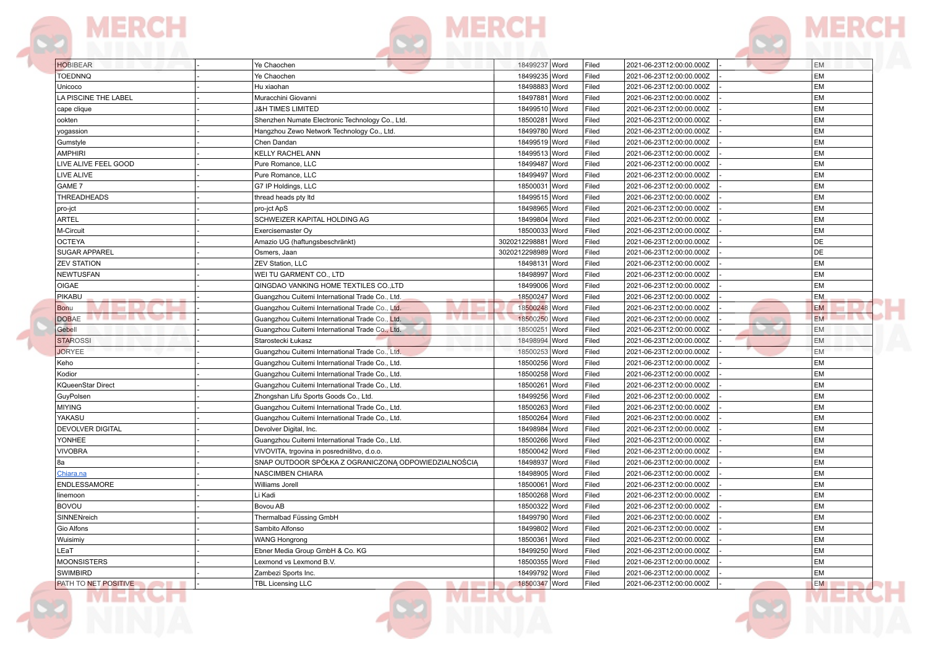



| <b>HOBIBEAR</b>             | Ye Chaochen                                                     | 18499237 Word           | Filed | 2021-06-23T12:00:00.000Z | <b>EM</b>      |
|-----------------------------|-----------------------------------------------------------------|-------------------------|-------|--------------------------|----------------|
| <b>TOEDNNQ</b>              | Ye Chaochen                                                     | 18499235   Word         | Filed | 2021-06-23T12:00:00.000Z | EM             |
| Unicoco                     | Hu xiaohan                                                      | 18498883 Word           | Filed | 2021-06-23T12:00:00.000Z | EM             |
| LA PISCINE THE LABEL        | Muracchini Giovanni                                             | 18497881 Word           | Filed | 2021-06-23T12:00:00.000Z | EM             |
| cape clique                 | <b>J&amp;H TIMES LIMITED</b>                                    | 18499510 Word           | Filed | 2021-06-23T12:00:00.000Z | EM             |
| ookten                      | Shenzhen Numate Electronic Technology Co., Ltd.                 | 18500281 Word           | Filed | 2021-06-23T12:00:00.000Z | EM             |
| yogassion                   | Hangzhou Zewo Network Technology Co., Ltd.                      | 18499780 Word           | Filed | 2021-06-23T12:00:00.000Z | EM             |
| Gumstyle                    | Chen Dandan                                                     | 18499519 Word           | Filed | 2021-06-23T12:00:00.000Z | EM             |
| <b>AMPHIRI</b>              | <b>KELLY RACHEL ANN</b>                                         | 18499513 Word           | Filed | 2021-06-23T12:00:00.000Z | EM             |
| LIVE ALIVE FEEL GOOD        | Pure Romance, LLC                                               | 18499487 Word           | Filed | 2021-06-23T12:00:00.000Z | EM             |
| LIVE ALIVE                  | Pure Romance, LLC                                               | 18499497 Word           | Filed | 2021-06-23T12:00:00.000Z | EM             |
| GAME 7                      | G7 IP Holdings, LLC                                             | 18500031<br>Word        | Filed | 2021-06-23T12:00:00.000Z | EM             |
| THREADHEADS                 | thread heads pty Itd                                            | 18499515 Word           | Filed | 2021-06-23T12:00:00.000Z | EM             |
| pro-jct                     | pro-jct ApS                                                     | 18498965 Word           | Filed | 2021-06-23T12:00:00.000Z | EM             |
| <b>ARTEL</b>                | SCHWEIZER KAPITAL HOLDING AG                                    | 18499804 Word           | Filed | 2021-06-23T12:00:00.000Z | EM             |
| M-Circuit                   | Exercisemaster Oy                                               | 18500033 Word           | Filed | 2021-06-23T12:00:00.000Z | EM             |
| <b>OCTEYA</b>               | Amazio UG (haftungsbeschränkt)                                  | 3020212298881<br>Word   | Filed | 2021-06-23T12:00:00.000Z | DE             |
| <b>SUGAR APPAREL</b>        | Osmers, Jaan                                                    | 3020212298989 Word      | Filed | 2021-06-23T12:00:00.000Z | DE             |
| <b>ZEV STATION</b>          | ZEV Station, LLC                                                | 18498131<br>Word        | Filed | 2021-06-23T12:00:00.000Z | EM             |
| <b>NEWTUSFAN</b>            | WEI TU GARMENT CO., LTD                                         | 18498997 Word           | Filed | 2021-06-23T12:00:00.000Z | EM             |
| <b>OIGAE</b>                | QINGDAO VANKING HOME TEXTILES CO., LTD                          | 18499006 Word           | Filed | 2021-06-23T12:00:00.000Z | EM             |
| PIKABU                      | Guangzhou Cuitemi International Trade Co., Ltd.                 | 18500247 Word           | Filed | 2021-06-23T12:00:00.000Z | <b>EM</b>      |
| Bonu                        | Guangzhou Cuitemi International Trade Co., Ltd.                 | 18500248 Word           | Filed | 2021-06-23T12:00:00.000Z | <b>EM</b>      |
| DOBAE <b>DOBAE</b>          | <b>AVAIL</b><br>Guangzhou Cuitemi International Trade Co., Ltd. | 18500250 Word           | Filed | 2021-06-23T12:00:00.000Z | <b>EM</b><br>. |
| Gebell                      | Guangzhou Cuitemi International Trade Co., Ltd.                 | 18500251 Word           | Filed | 2021-06-23T12:00:00.000Z | <b>EM</b>      |
| <b>STAROSSI</b>             | Starostecki Łukasz                                              | 18498994 Word           | Filed | 2021-06-23T12:00:00.000Z | <b>EM</b>      |
| <b>JORYEE</b>               | Guangzhou Cuitemi International Trade Co., Ltd.                 | 18500253 Word           | Filed | 2021-06-23T12:00:00.000Z | <b>EM</b>      |
| Keho                        | Guangzhou Cuitemi International Trade Co., Ltd.                 | 18500256 Word           | Filed | 2021-06-23T12:00:00.000Z | EM             |
| Kodior                      | Guangzhou Cuitemi International Trade Co., Ltd.                 | 18500258 Word           | Filed | 2021-06-23T12:00:00.000Z | EM             |
| <b>KQueenStar Direct</b>    | Guangzhou Cuitemi International Trade Co., Ltd.                 | 18500261<br><b>Word</b> | Filed | 2021-06-23T12:00:00.000Z | EM             |
| GuyPolsen                   | Zhongshan Lifu Sports Goods Co., Ltd.                           | 18499256 Word           | Filed | 2021-06-23T12:00:00.000Z | EM             |
| <b>MIYING</b>               | Guangzhou Cuitemi International Trade Co., Ltd.                 | 18500263 Word           | Filed | 2021-06-23T12:00:00.000Z | EM             |
| YAKASU                      | Guangzhou Cuitemi International Trade Co., Ltd.                 | 18500264 Word           | Filed | 2021-06-23T12:00:00.000Z | EM             |
| <b>DEVOLVER DIGITAL</b>     | Devolver Digital, Inc.                                          | 18498984 Word           | Filed | 2021-06-23T12:00:00.000Z | EM             |
| YONHEE                      | Guangzhou Cuitemi International Trade Co., Ltd.                 | 18500266 Word           | Filed | 2021-06-23T12:00:00.000Z | EM             |
| <b>VIVOBRA</b>              | VIVOVITA, trgovina in posredništvo, d.o.o.                      | 18500042 Word           | Filed | 2021-06-23T12:00:00.000Z | EM             |
| 8a                          | SNAP OUTDOOR SPÓŁKA Z OGRANICZONĄ ODPOWIEDZIALNOŚCIĄ            | 18498937 Word           | Filed | 2021-06-23T12:00:00.000Z | EM             |
| <u>Chiara.na</u>            | <b>NASCIMBEN CHIARA</b>                                         | 18498905 Word           | Filed | 2021-06-23T12:00:00.000Z | EM             |
| ENDLESSAMORE                | Williams Jorell                                                 | 18500061<br><b>Word</b> | Filed | 2021-06-23T12:00:00.000Z | EM             |
| linemoon                    | Li Kadi                                                         | 18500268 Word           | Filed | 2021-06-23T12:00:00.000Z | EM             |
| <b>BOVOU</b>                | Bovou AB                                                        | 18500322 Word           | Filed | 2021-06-23T12:00:00.000Z | EM             |
| SINNENreich                 | Thermalbad Füssing GmbH                                         | 18499790 Word           | Filed | 2021-06-23T12:00:00.000Z | EM             |
| Gio Alfons                  | Sambito Alfonso                                                 | 18499802 Word           | Filed | 2021-06-23T12:00:00.000Z | EM             |
| Wuisimiy                    | <b>WANG Hongrong</b>                                            | 18500361 Word           | Filed | 2021-06-23T12:00:00.000Z | EM             |
| LEaT                        | Ebner Media Group GmbH & Co. KG                                 | 18499250 Word           | Filed | 2021-06-23T12:00:00.000Z | EM             |
| <b>MOONSISTERS</b>          | Lexmond vs Lexmond B.V.                                         | 18500355 Word           | Filed | 2021-06-23T12:00:00.000Z | EM             |
| SWIMBIRD                    | Zambezi Sports Inc.                                             | 18499792 Word           | Filed | 2021-06-23T12:00:00.000Z | EM             |
| <b>PATH TO NET POSITIVE</b> | <b>TBL Licensing LLC</b><br><b>Band Control</b>                 | 18500347 Word           | Filed | 2021-06-23T12:00:00.000Z | EM             |
|                             |                                                                 |                         |       |                          |                |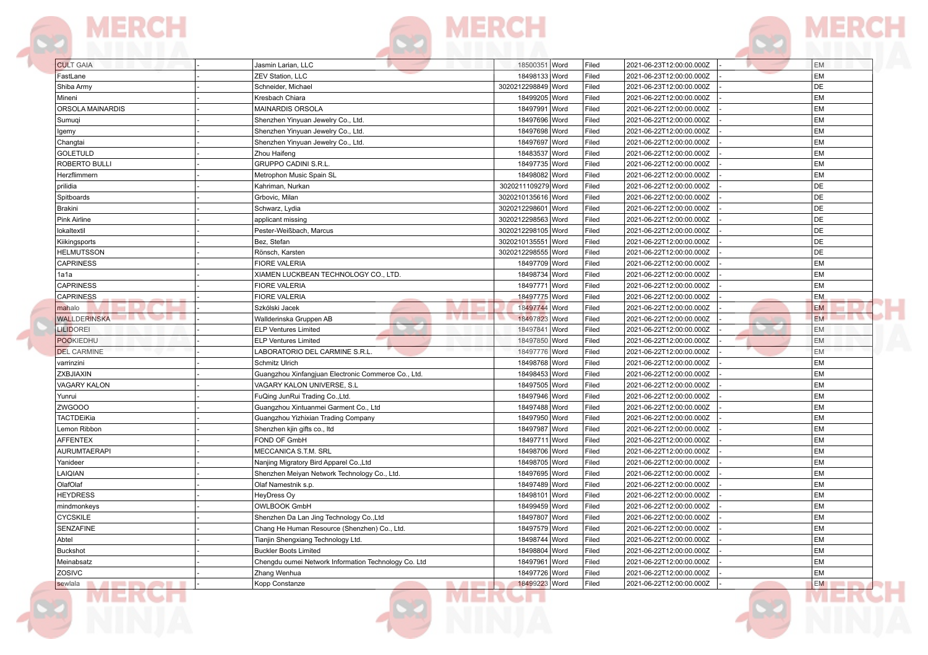



| <b>CULT GAIA</b>              | Jasmin Larian, LLC<br><b>ZEV Station, LLC</b>                                            | 18500351 Word                  | Filed          | 2021-06-23T12:00:00.000Z                             | EM              |
|-------------------------------|------------------------------------------------------------------------------------------|--------------------------------|----------------|------------------------------------------------------|-----------------|
| FastLane                      |                                                                                          | 18498133 Word                  | Filed          | 2021-06-23T12:00:00.000Z                             | EM              |
| Shiba Army                    | Schneider, Michael                                                                       | 3020212298849 Word             | Filed          | 2021-06-23T12:00:00.000Z                             | DE              |
| Mineni<br>ORSOLA MAINARDIS    | Kresbach Chiara<br><b>MAINARDIS ORSOLA</b>                                               | 18499205 Word<br>18497991 Word | Filed<br>Filed | 2021-06-22T12:00:00.000Z<br>2021-06-22T12:00:00.000Z | EM<br><b>EM</b> |
| Sumugi                        | Shenzhen Yinyuan Jewelry Co., Ltd.                                                       | 18497696 Word                  | Filed          | 2021-06-22T12:00:00.000Z                             | <b>EM</b>       |
|                               | Shenzhen Yinyuan Jewelry Co., Ltd.                                                       | 18497698 Word                  | Filed          | 2021-06-22T12:00:00.000Z                             | EM              |
| lgemy<br>Changtai             | Shenzhen Yinyuan Jewelry Co., Ltd.                                                       | 18497697 Word                  | Filed          | 2021-06-22T12:00:00.000Z                             | EМ              |
| <b>GOLETULD</b>               | Zhou Haifeng                                                                             | 18483537 Word                  | Filed          | 2021-06-22T12:00:00.000Z                             | <b>EM</b>       |
| <b>ROBERTO BULLI</b>          | <b>GRUPPO CADINI S.R.L.</b>                                                              | 18497735 Word                  | Filed          | 2021-06-22T12:00:00.000Z                             | EM              |
| Herzflimmern                  | Metrophon Music Spain SL                                                                 | 18498082 Word                  | Filed          | 2021-06-22T12:00:00.000Z                             | EM              |
| prilidia                      | Kahriman, Nurkan                                                                         | 3020211109279 Word             | Filed          | 2021-06-22T12:00:00.000Z                             | DE              |
| Spitboards                    | Grbovic, Milan                                                                           | 3020210135616 Word             | Filed          | 2021-06-22T12:00:00.000Z                             | DE              |
| Brakini                       | Schwarz, Lydia                                                                           | 3020212298601 Word             | Filed          | 2021-06-22T12:00:00.000Z                             | DE              |
| Pink Airline                  | applicant missing                                                                        | 3020212298563 Word             | Filed          | 2021-06-22T12:00:00.000Z                             | DE              |
| lokaltextil                   | Pester-Weißbach, Marcus                                                                  | 3020212298105 Word             | Filed          | 2021-06-22T12:00:00.000Z                             | DE              |
| Kiikingsports                 | Bez, Stefan                                                                              | 3020210135551 Word             | Filed          | 2021-06-22T12:00:00.000Z                             | DE              |
| <b>HELMUTSSON</b>             | Rönsch, Karsten                                                                          | 3020212298555 Word             | Filed          | 2021-06-22T12:00:00.000Z                             | DE              |
| <b>CAPRINESS</b>              | <b>FIORE VALERIA</b>                                                                     | 18497709 Word                  | Filed          | 2021-06-22T12:00:00.000Z                             | EM              |
| 1a1a                          | XIAMEN LUCKBEAN TECHNOLOGY CO., LTD.                                                     | 18498734 Word                  | Filed          | 2021-06-22T12:00:00.000Z                             | EM              |
| <b>CAPRINESS</b>              | <b>FIORE VALERIA</b>                                                                     | 18497771 Word                  | Filed          | 2021-06-22T12:00:00.000Z                             | <b>EM</b>       |
| <b>CAPRINESS</b>              | <b>FIORE VALERIA</b>                                                                     | 18497775 Word                  | Filed          | 2021-06-22T12:00:00.000Z                             | <b>EM</b>       |
| mahalo                        | Szkólski Jacek                                                                           | 18497744 Word                  | Filed          | 2021-06-22T12:00:00.000Z                             | <b>EM</b>       |
| ------<br><b>WALLDERINSKA</b> | <b>AVAILABLE</b><br>Wallderinska Gruppen AB                                              | 18497823 Word                  | Filed          | 2021-06-22T12:00:00.000Z                             | <b>EM</b>       |
| <b>LILIDOREI</b>              | <b>ELP Ventures Limited</b>                                                              | 18497841 Word                  | Filed          | 2021-06-22T12:00:00.000Z                             | EM              |
| <b>POOKIEDHU</b>              | <b>ELP Ventures Limited</b>                                                              | 18497850 Word                  | Filed          | 2021-06-22T12:00:00.000Z                             | EM              |
| <b>DEL CARMINE</b>            | LABORATORIO DEL CARMINE S.R.L                                                            | 18497776 Word                  | Filed          | 2021-06-22T12:00:00.000Z                             | <b>EM</b>       |
| varrinzini                    | Schmitz Ulrich                                                                           | 18498768 Word                  | Filed          | 2021-06-22T12:00:00.000Z                             | EM              |
| ZXBJIAXIN                     | Guangzhou Xinfangjuan Electronic Commerce Co., Ltd.                                      | 18498453 Word                  | Filed          | 2021-06-22T12:00:00.000Z                             | EM              |
| <b>VAGARY KALON</b>           | VAGARY KALON UNIVERSE, S.L.                                                              | 18497505 Word                  | Filed          | 2021-06-22T12:00:00.000Z                             | EM              |
| Yunrui                        | FuQing JunRui Trading Co., Ltd.                                                          | 18497946 Word                  | Filed          | 2021-06-22T12:00:00.000Z                             | <b>EM</b>       |
| ZWGOOO                        | Guangzhou Xintuanmei Garment Co., Ltd                                                    | 18497488 Word                  | Filed          | 2021-06-22T12:00:00.000Z                             | EM              |
| <b>TACTDEiKia</b>             | Guangzhou Yizhixian Trading Company                                                      | 18497950 Word                  | Filed          | 2021-06-22T12:00:00.000Z                             | EM              |
| Lemon Ribbon                  | Shenzhen kjin gifts co., Itd                                                             | 18497987 Word                  | Filed          | 2021-06-22T12:00:00.000Z                             | <b>EM</b>       |
| <b>AFFENTEX</b>               | FOND OF GmbH                                                                             | 18497711 Word                  | Filed          | 2021-06-22T12:00:00.000Z                             | <b>EM</b>       |
| <b>AURUMTAERAPI</b>           | MECCANICA S.T.M. SRL                                                                     | 18498706 Word                  | Filed          | 2021-06-22T12:00:00.000Z                             | EM              |
| Yanideer                      | Nanjing Migratory Bird Apparel Co., Ltd                                                  | 18498705 Word                  | Filed          | 2021-06-22T12:00:00.000Z                             | EM              |
| LAIQIAN                       | Shenzhen Meiyan Network Technology Co., Ltd.                                             | 18497695 Word                  | Filed          | 2021-06-22T12:00:00.000Z                             | EM              |
| OlafOlaf                      | Olaf Namestnik s.p.                                                                      | 18497489 Word                  | Filed          | 2021-06-22T12:00:00.000Z                             | EМ              |
| <b>HEYDRESS</b>               | <b>HeyDress Oy</b>                                                                       | 18498101 Word<br>18499459 Word | Filed          | 2021-06-22T12:00:00.000Z                             | EM              |
| mindmonkeys                   | <b>OWLBOOK GmbH</b>                                                                      |                                | Filed          | 2021-06-22T12:00:00.000Z                             | EM<br>EM        |
| <b>CYCSKILE</b><br>SENZAFINE  | Shenzhen Da Lan Jing Technology Co., Ltd<br>Chang He Human Resource (Shenzhen) Co., Ltd. | 18497807 Word<br>18497579 Word | Filed          | 2021-06-22T12:00:00.000Z<br>2021-06-22T12:00:00.000Z | EM              |
| Abtel                         | Tianjin Shengxiang Technology Ltd.                                                       | 18498744 Word                  | Filed<br>Filed |                                                      | EM              |
|                               | <b>Buckler Boots Limited</b>                                                             |                                |                | 2021-06-22T12:00:00.000Z                             | EM              |
| <b>Buckshot</b><br>Meinabsatz | Chengdu oumei Network Information Technology Co. Ltd                                     | 18498804 Word<br>18497961 Word | Filed<br>Filed | 2021-06-22T12:00:00.000Z<br>2021-06-22T12:00:00.000Z | EM              |
| ZOSIVC                        | Zhang Wenhua                                                                             | 18497726 Word                  | Filed          | 2021-06-22T12:00:00.000Z                             | EM              |
|                               | Kopp Constanze<br><b>Contract Contract</b>                                               | 18499223 Word                  | Filed          | 2021-06-22T12:00:00.000Z                             | EM              |



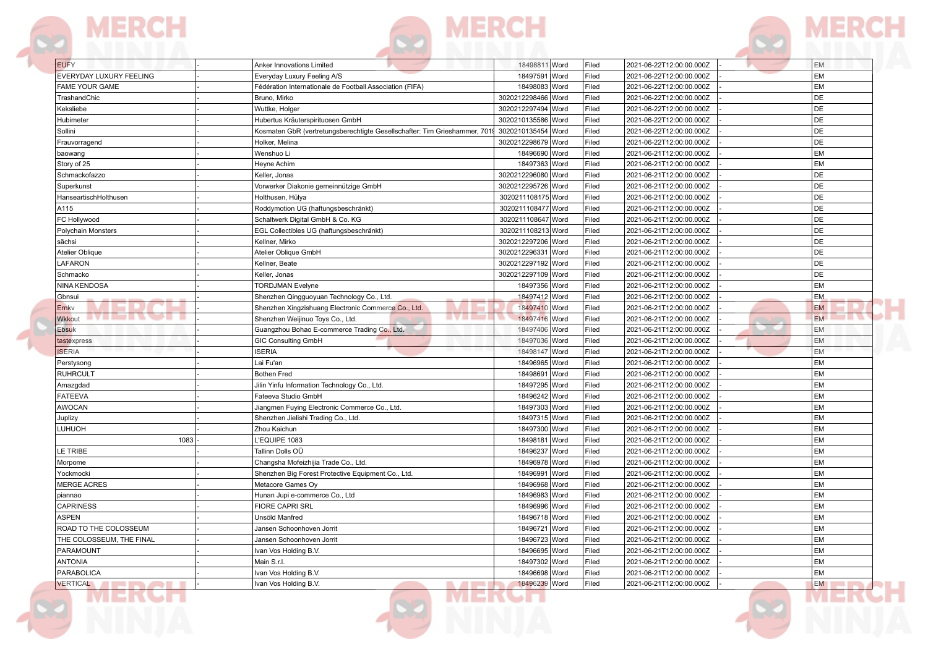



| <b>EUFY</b>              | Anker Innovations Limited                                                 | 18498811 Word      | Filed | 2021-06-22T12:00:00.000Z | <b>EM</b> |
|--------------------------|---------------------------------------------------------------------------|--------------------|-------|--------------------------|-----------|
| EVERYDAY LUXURY FEELING  | Everyday Luxury Feeling A/S                                               | 18497591 Word      | Filed | 2021-06-22T12:00:00.000Z | <b>EM</b> |
| FAME YOUR GAME           | Fédération Internationale de Football Association (FIFA)                  | 18498083 Word      | Filed | 2021-06-22T12:00:00.000Z | <b>EM</b> |
| TrashandChic             | Bruno. Mirko                                                              | 3020212298466 Word | Filed | 2021-06-22T12:00:00.000Z | DE        |
| Keksliebe                | Wuttke, Holger                                                            | 3020212297494 Word | Filed | 2021-06-22T12:00:00.000Z | DE        |
| Hubimeter                | Hubertus Kräuterspirituosen GmbH                                          | 3020210135586 Word | Filed | 2021-06-22T12:00:00.000Z | DE        |
| Sollini                  | Kosmaten GbR (vertretungsberechtigte Gesellschafter: Tim Grieshammer, 701 | 3020210135454 Word | Filed | 2021-06-22T12:00:00.000Z | DE        |
| Frauvorragend            | Holker, Melina                                                            | 3020212298679 Word | Filed | 2021-06-22T12:00:00.000Z | DE        |
| baowang                  | Wenshuo Li                                                                | 18496690 Word      | Filed | 2021-06-21T12:00:00.000Z | <b>EM</b> |
| Story of 25              | Heyne Achim                                                               | 18497363 Word      | Filed | 2021-06-21T12:00:00.000Z | <b>EM</b> |
| Schmackofazzo            | Keller, Jonas                                                             | 3020212296080 Word | Filed | 2021-06-21T12:00:00.000Z | DE        |
| Superkunst               | Vorwerker Diakonie gemeinnützige GmbH                                     | 3020212295726 Word | Filed | 2021-06-21T12:00:00.000Z | DE        |
| HanseartischHolthusen    | Holthusen, Hülya                                                          | 3020211108175 Word | Filed | 2021-06-21T12:00:00.000Z | DE        |
| A115                     | Roddymotion UG (haftungsbeschränkt)                                       | 3020211108477 Word | Filed | 2021-06-21T12:00:00.000Z | DE        |
| FC Hollywood             | Schaltwerk Digital GmbH & Co. KG                                          | 3020211108647 Word | Filed | 2021-06-21T12:00:00.000Z | DE        |
| Polychain Monsters       | EGL Collectibles UG (haftungsbeschränkt)                                  | 3020211108213 Word | Filed | 2021-06-21T12:00:00.000Z | DE        |
| sächsi                   | Kellner, Mirko                                                            | 3020212297206 Word | Filed | 2021-06-21T12:00:00.000Z | DE        |
| Atelier Oblique          | Atelier Oblique GmbH                                                      | 3020212296331 Word | Filed | 2021-06-21T12:00:00.000Z | DE        |
| LAFARON                  | Kellner, Beate                                                            | 3020212297192 Word | Filed | 2021-06-21T12:00:00.000Z | DE        |
| Schmacko                 | Keller, Jonas                                                             | 3020212297109 Word | Filed | 2021-06-21T12:00:00.000Z | DE        |
| NINA KENDOSA             | <b>TORDJMAN Evelyne</b>                                                   | 18497356 Word      | Filed | 2021-06-21T12:00:00.000Z | <b>EM</b> |
| Gbnsui                   | Shenzhen Qingguoyuan Technology Co., Ltd.                                 | 18497412 Word      | Filed | 2021-06-21T12:00:00.000Z | <b>EM</b> |
| Ernkv                    | Shenzhen Xingzishuang Electronic Commerce Co., Ltd.                       | 18497410 Word      | Filed | 2021-06-21T12:00:00.000Z | <b>EM</b> |
| ┅<br><b>Wkkout</b>       | 878 E<br>Shenzhen Weijinuo Toys Co., Ltd.                                 | 18497416 Word      | Filed | 2021-06-21T12:00:00.000Z | <b>EM</b> |
| Ebsuk                    | Guangzhou Bohao E-commerce Trading Co., Ltd.                              | 18497406 Word      | Filed | 2021-06-21T12:00:00.000Z | <b>EM</b> |
|                          | <b>GIC Consulting GmbH</b>                                                | 18497036 Word      | Filed | 2021-06-21T12:00:00.000Z | <b>EM</b> |
| tastexpress              | <b>ISERIA</b>                                                             |                    |       |                          | <b>EM</b> |
| <b>ISERIA</b>            |                                                                           | 18498147 Word      | Filed | 2021-06-21T12:00:00.000Z |           |
| Perstysong               | Lai Fu'an<br><b>Bothen Fred</b>                                           | 18496965 Word      | Filed | 2021-06-21T12:00:00.000Z | <b>EM</b> |
| RUHRCULT                 |                                                                           | 18498691 Word      | Filed | 2021-06-21T12:00:00.000Z | <b>EM</b> |
| Amazgdad                 | Jilin Yinfu Information Technology Co., Ltd.                              | 18497295 Word      | Filed | 2021-06-21T12:00:00.000Z | <b>EM</b> |
| <b>FATEEVA</b>           | Fateeva Studio GmbH                                                       | 18496242 Word      | Filed | 2021-06-21T12:00:00.000Z | <b>EM</b> |
| AWOCAN                   | Jiangmen Fuying Electronic Commerce Co., Ltd.                             | 18497303 Word      | Filed | 2021-06-21T12:00:00.000Z | <b>EM</b> |
| Juplizy                  | Shenzhen Jielishi Trading Co., Ltd.                                       | 18497315 Word      | Filed | 2021-06-21T12:00:00.000Z | <b>EM</b> |
| LUHUOH                   | Zhou Kaichun                                                              | 18497300 Word      | Filed | 2021-06-21T12:00:00.000Z | <b>EM</b> |
| 1083                     | L'EQUIPE 1083                                                             | 18498181 Word      | Filed | 2021-06-21T12:00:00.000Z | <b>EM</b> |
| LE TRIBE                 | Tallinn Dolls OÜ                                                          | 18496237 Word      | Filed | 2021-06-21T12:00:00.000Z | <b>EM</b> |
| Morpome                  | Changsha Mofeizhijia Trade Co., Ltd.                                      | 18496978 Word      | Filed | 2021-06-21T12:00:00.000Z | <b>EM</b> |
| Yockmocki                | Shenzhen Big Forest Protective Equipment Co., Ltd.                        | 18496991 Word      | Filed | 2021-06-21T12:00:00.000Z | <b>EM</b> |
| <b>MERGE ACRES</b>       | Metacore Games Oy                                                         | 18496968 Word      | Filed | 2021-06-21T12:00:00.000Z | <b>EM</b> |
| piannao                  | Hunan Jupi e-commerce Co., Ltd                                            | 18496983<br>Word   | Filed | 2021-06-21T12:00:00.000Z | <b>EM</b> |
| CAPRINESS                | FIORE CAPRI SRL                                                           | 18496996 Word      | Filed | 2021-06-21T12:00:00.000Z | <b>EM</b> |
| <b>ASPEN</b>             | Unsöld Manfred                                                            | 18496718 Word      | Filed | 2021-06-21T12:00:00.000Z | <b>EM</b> |
| ROAD TO THE COLOSSEUM    | Jansen Schoonhoven Jorrit                                                 | 18496721 Word      | Filed | 2021-06-21T12:00:00.000Z | <b>EM</b> |
| THE COLOSSEUM, THE FINAL | Jansen Schoonhoven Jorrit                                                 | 18496723 Word      | Filed | 2021-06-21T12:00:00.000Z | <b>EM</b> |
| PARAMOUNT                | Ivan Vos Holding B.V.                                                     | 18496695 Word      | Filed | 2021-06-21T12:00:00.000Z | EM        |
| <b>ANTONIA</b>           | Main S.r.l.                                                               | 18497302 Word      | Filed | 2021-06-21T12:00:00.000Z | <b>EM</b> |
| PARABOLICA               | Ivan Vos Holding B.V.                                                     | 18496698 Word      | Filed | 2021-06-21T12:00:00.000Z | <b>EM</b> |
| <b>VERTICAL</b>          | Ivan Vos Holding B.V.<br><b>The American</b>                              | 18496239 Word      | Filed | 2021-06-21T12:00:00.000Z | EM        |
|                          |                                                                           |                    |       |                          |           |

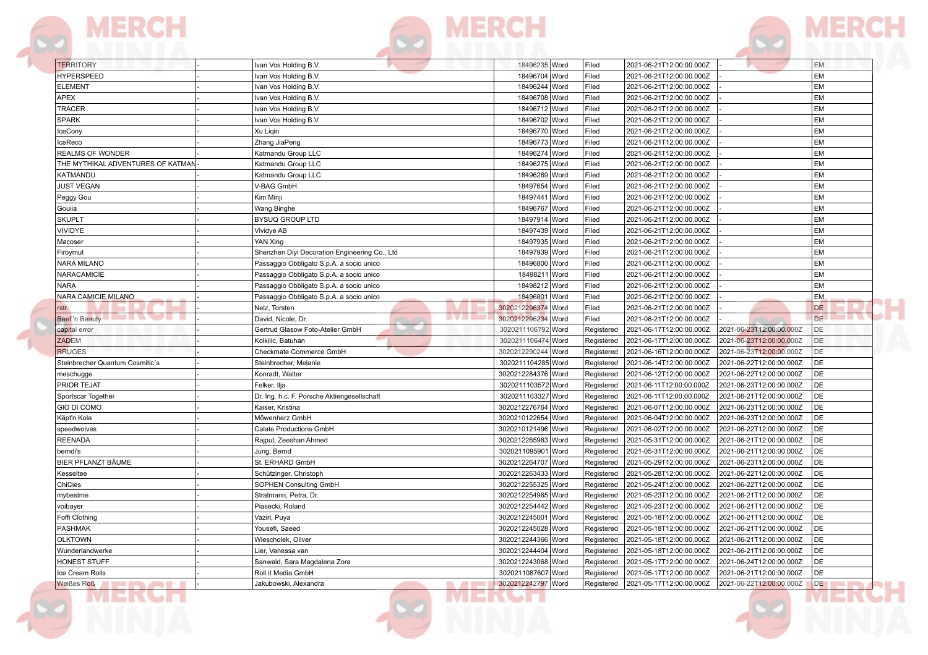









MER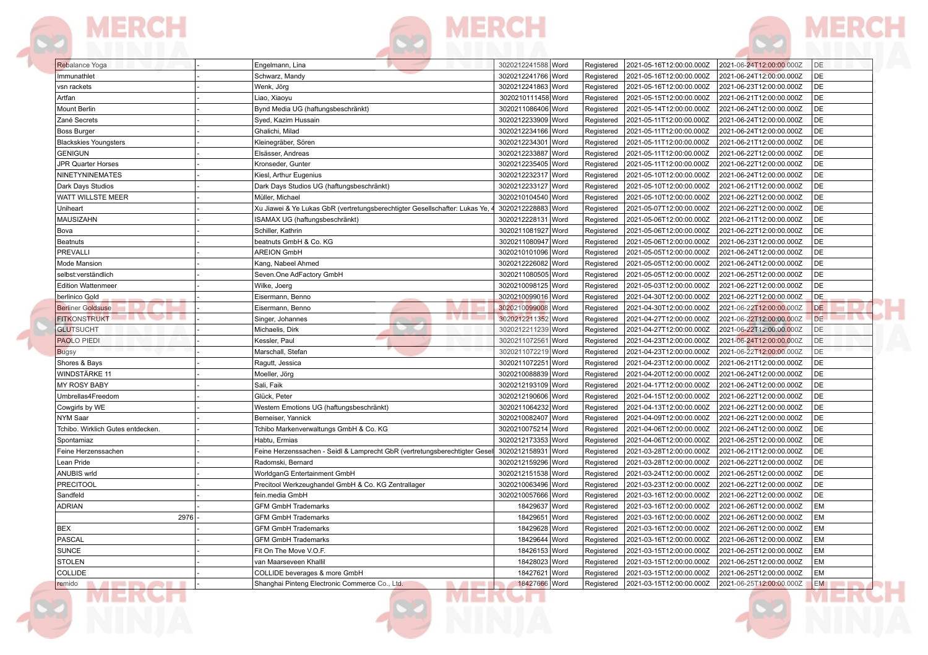



**DZ** 

| Rebalance Yoga                    | Engelmann, Lina                                                                                 | 3020212241588 Word             | 2021-05-16T12:00:00.000Z<br>Registered                             | DE<br>2021-06-24T12:00:00.000Z                             |
|-----------------------------------|-------------------------------------------------------------------------------------------------|--------------------------------|--------------------------------------------------------------------|------------------------------------------------------------|
| Immunathlet                       | Schwarz, Mandy                                                                                  | 3020212241766 Word             | 2021-05-16T12:00:00.000Z<br>Registered                             | DE<br>2021-06-24T12:00:00.000Z                             |
| vsn rackets                       | Wenk, Jörg                                                                                      | 3020212241863 Word             | 2021-05-16T12:00:00.000Z<br>Registered                             | DE<br>2021-06-23T12:00:00.000Z                             |
| Artfan                            | Liao, Xiaoyu                                                                                    | 3020210111458 Word             | Registered<br>2021-05-15T12:00:00.000Z                             | DE<br>2021-06-21T12:00:00.000Z                             |
| Mount Berlin                      | Bynd Media UG (haftungsbeschränkt)                                                              | 3020211086406 Word             | Registered<br>2021-05-14T12:00:00.000Z                             | DE<br>2021-06-24T12:00:00.000Z                             |
| Zané Secrets                      | Syed, Kazim Hussain                                                                             | 3020212233909 Word             | 2021-05-11T12:00:00.000Z<br>Registered                             | DE<br>2021-06-24T12:00:00.000Z                             |
| <b>Boss Burger</b>                | Ghalichi, Milad                                                                                 | 3020212234166 Word             | 2021-05-11T12:00:00.000Z<br>Registered                             | DE<br>2021-06-24T12:00:00.000Z                             |
| <b>Blackskies Youngsters</b>      | Kleinegräber, Sören                                                                             | 3020212234301 Word             | 2021-05-11T12:00:00.000Z<br>Registered                             | DE<br>2021-06-21T12:00:00.000Z                             |
| <b>GENIGUN</b>                    | Elsässer, Andreas                                                                               | 3020212233887 Word             | 2021-05-11T12:00:00.000Z<br>Registered                             | DE<br>2021-06-22T12:00:00.000Z                             |
| JPR Quarter Horses                | Kronseder, Gunter                                                                               | 3020212235405 Word             | Registered<br>2021-05-11T12:00:00.000Z                             | DE<br>2021-06-22T12:00:00.000Z                             |
| NINETYNINEMATES                   | Kiesl, Arthur Eugenius                                                                          | 3020212232317 Word             | Registered<br>2021-05-10T12:00:00.000Z                             | DE<br>2021-06-24T12:00:00.000Z                             |
| Dark Days Studios                 | Dark Days Studios UG (haftungsbeschränkt)                                                       | 3020212233127 Word             | Registered<br>2021-05-10T12:00:00.000Z                             | DE<br>2021-06-21T12:00:00.000Z                             |
| WATT WILLSTE MEER                 | Müller, Michael                                                                                 | 3020210104540 Word             | Registered<br>2021-05-10T12:00:00.000Z                             | DE<br>2021-06-22T12:00:00.000Z                             |
| Uniheart                          | Xu Jiawei & Ye Lukas GbR (vertretungsberechtigter Gesellschafter: Lukas Ye,                     | 3020212228883 Word             | 2021-05-07T12:00:00.000Z<br>Registered                             | DE<br>2021-06-22T12:00:00.000Z                             |
| <b>MAUSIZAHN</b>                  | ISAMAX UG (haftungsbeschränkt)                                                                  | 3020212228131 Word             | 2021-05-06T12:00:00.000Z<br>Registered                             | DE<br>2021-06-21T12:00:00.000Z                             |
| Bova                              | Schiller, Kathrin                                                                               | 3020211081927 Word             | Registered<br>2021-05-06T12:00:00.000Z                             | DE<br>2021-06-22T12:00:00.000Z                             |
| Beatnuts                          | beatnuts GmbH & Co. KG                                                                          | 3020211080947 Word             | Registered<br>2021-05-06T12:00:00.000Z                             | DE<br>2021-06-23T12:00:00.000Z                             |
| PREVALLI                          | <b>AREION GmbH</b>                                                                              | 3020210101096 Word             | 2021-05-05T12:00:00.000Z<br>Registered                             | DE<br>2021-06-24T12:00:00.000Z                             |
| Mode Mansion                      | Kang, Nabeel Ahmed                                                                              | 3020212226082 Word             | Registered<br>2021-05-05T12:00:00.000Z                             | DE<br>2021-06-24T12:00:00.000Z                             |
| selbst:verständlich               | Seven.One AdFactory GmbH                                                                        | 3020211080505 Word             | 2021-05-05T12:00:00.000Z<br>Registered                             | DE<br>2021-06-25T12:00:00.000Z                             |
| <b>Edition Wattenmeer</b>         | Wilke, Joerg                                                                                    | 3020210098125 Word             | 2021-05-03T12:00:00.000Z<br>Registered                             | DE<br>2021-06-22T12:00:00.000Z                             |
| berlinico Gold                    | Eisermann, Benno                                                                                | 3020210099016 Word             | Registered<br>2021-04-30T12:00:00.000Z                             | DE<br>2021-06-22T12:00:00.000Z                             |
| <b>Berliner Goldsuse</b>          | Eisermann, Benno                                                                                | 3020210099008 Word             | 2021-04-30T12:00:00.000Z<br>Registered                             | DE<br>2021-06-22T12:00:00.000Z                             |
| .<br><b>FITKONSTRUKT</b>          | 878 E<br>Singer, Johannes                                                                       | 3020212211352 Word             | 2021-04-27T12:00:00.000Z<br>Registered                             | DE<br>2021-06-22T12:00:00.000Z                             |
| <b>GLUTSUCHT</b>                  | Michaelis, Dirk                                                                                 | 3020212211239 Word             | Registered<br>2021-04-27T12:00:00.000Z                             | DE<br>2021-06-22T12:00:00.000Z                             |
| <b>PAOLO PIEDI</b>                | Kessler, Paul                                                                                   | 3020211072561 Word             | 2021-04-23T12:00:00.000Z<br>Registered                             | DE<br>2021-06-24T12:00:00.000Z                             |
| <b>Bugsy</b>                      | Marschall, Stefan                                                                               | 3020211072219 Word             | 2021-04-23T12:00:00.000Z<br>Registered                             | 2021-06-22T12:00:00.000Z<br>DE                             |
| Shores & Bays                     | Ragutt, Jessica                                                                                 | 3020211072251 Word             | Registered<br>2021-04-23T12:00:00.000Z                             | DE<br>2021-06-21T12:00:00.000Z                             |
| WINDSTÄRKE 11                     | Moeller, Jörg                                                                                   | 3020210088839 Word             | 2021-04-20T12:00:00.000Z<br>Registered                             | DE<br>2021-06-24T12:00:00.000Z                             |
| <b>MY ROSY BABY</b>               | Sali, Faik                                                                                      | 3020212193109 Word             | 2021-04-17T12:00:00.000Z<br>Registered                             | DE<br>2021-06-24T12:00:00.000Z                             |
| Umbrellas4Freedom                 | Glück, Peter                                                                                    | 3020212190606 Word             | Registered<br>2021-04-15T12:00:00.000Z                             | DE<br>2021-06-22T12:00:00.000Z                             |
| Cowgirls by WE                    | Western Emotions UG (haftungsbeschränkt)                                                        | 3020211064232 Word             | 2021-04-13T12:00:00.000Z<br>Registered                             | DE<br>2021-06-22T12:00:00.000Z                             |
| <b>NYM Saar</b>                   | Berneiser, Yannick                                                                              | 3020210082407 Word             | Registered<br>2021-04-09T12:00:00.000Z                             | DE<br>2021-06-22T12:00:00.000Z                             |
| Tchibo. Wirklich Gutes entdecken  | Tchibo Markenverwaltungs GmbH & Co. KG                                                          | 3020210075214 Word             | 2021-04-06T12:00:00.000Z<br>Registered                             | DE<br>2021-06-24T12:00:00.000Z                             |
|                                   | Habtu, Ermias                                                                                   | 3020212173353 Word             | 2021-04-06T12:00:00.000Z<br>Registered                             | DE<br>2021-06-25T12:00:00.000Z                             |
| Spontamiaz                        |                                                                                                 | 3020212158931 Word             |                                                                    | DE                                                         |
| Feine Herzenssachen<br>Lean Pride | Feine Herzenssachen - Seidl & Lamprecht GbR (vertretungsberechtigter Gesel<br>Radomski, Bernard | 3020212159296 Word             | 2021-03-28T12:00:00.000Z<br>Registered<br>2021-03-28T12:00:00.000Z | 2021-06-21T12:00:00.000Z<br>DE<br>2021-06-22T12:00:00.000Z |
| <b>ANUBIS wrld</b>                | WorldganG Entertainment GmbH                                                                    | 3020212151538 Word             | Registered                                                         | DE                                                         |
|                                   |                                                                                                 |                                | Registered<br>2021-03-24T12:00:00.000Z                             | 2021-06-25T12:00:00.000Z<br>DE                             |
| <b>PRECITOOL</b>                  | Precitool Werkzeughandel GmbH & Co. KG Zentrallager                                             | 3020210063496 Word             | 2021-03-23T12:00:00.000Z<br>Registered                             | 2021-06-22T12:00:00.000Z                                   |
| Sandfeld                          | fein.media GmbH                                                                                 | 3020210057666 Word             | 2021-03-16T12:00:00.000Z<br>Registered                             | DE<br>2021-06-22T12:00:00.000Z                             |
| ADRIAN                            | <b>GFM GmbH Trademarks</b>                                                                      | 18429637 Word                  | Registered<br>2021-03-16T12:00:00.000Z                             | EM<br>2021-06-26T12:00:00.000Z                             |
| 2976                              | <b>GFM GmbH Trademarks</b>                                                                      | 18429651 Word                  | 2021-03-16T12:00:00.000Z<br>Registered                             | 2021-06-26T12:00:00.000Z<br>EM                             |
| BEX                               | <b>GFM GmbH Trademarks</b>                                                                      | 18429628 Word                  | 2021-03-16T12:00:00.000Z<br>Registered                             | EM<br>2021-06-26T12:00:00.000Z                             |
| PASCAL                            | <b>GFM GmbH Trademarks</b>                                                                      | 18429644 Word<br>18426153 Word | Registered<br>2021-03-16T12:00:00.000Z                             | EM<br>2021-06-26T12:00:00.000Z<br><b>EM</b>                |
| SUNCE                             | Fit On The Move V.O.F.                                                                          |                                | Registered                                                         | 2021-03-15T12:00:00.000Z 2021-06-25T12:00:00.000Z          |
| <b>STOLEN</b>                     | van Maarseveen Khallil                                                                          | 18428023 Word                  | 2021-03-15T12:00:00.000Z<br>Registered                             | EM<br>2021-06-25T12:00:00.000Z                             |
| COLLIDE                           | COLLIDE beverages & more GmbH                                                                   | 18427621 Word                  | 2021-03-15T12:00:00.000Z<br>Registered                             | 2021-06-25T12:00:00.000Z<br>EM                             |
| remido                            | Shanghai Pinteng Electronic Commerce Co., Ltd.                                                  | 18427666 Word                  | 2021-03-15T12:00:00.000Z<br>Registered                             | 2021-06-25T12:00:00.000Z<br><b>EM</b>                      |
|                                   |                                                                                                 |                                |                                                                    |                                                            |

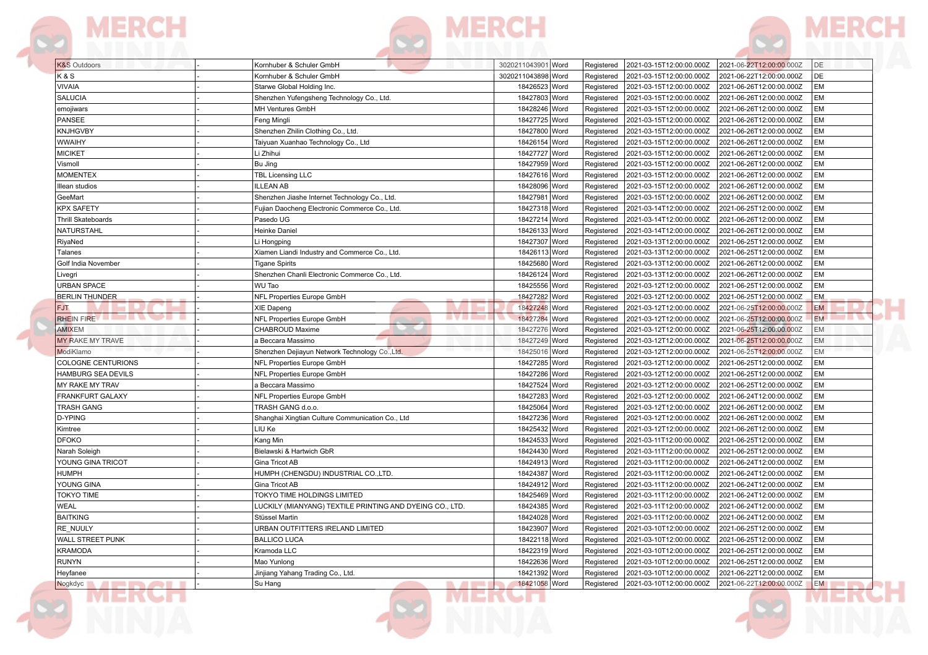



| <b>K&amp;S</b> Outdoors                          | Kornhuber & Schuler GmbH                                 | 2021-06-22T12:00:00.000Z<br>DE<br>3020211043901 Word<br>2021-03-15T12:00:00.000Z<br>Registered          |
|--------------------------------------------------|----------------------------------------------------------|---------------------------------------------------------------------------------------------------------|
| K&S                                              | Kornhuber & Schuler GmbH                                 | DE<br>3020211043898 Word<br>2021-03-15T12:00:00.000Z<br>2021-06-22T12:00:00.000Z<br>Registered          |
| VIVAIA                                           | Starwe Global Holding Inc.                               | EM<br>18426523 Word<br>Registered<br>2021-03-15T12:00:00.000Z<br>2021-06-26T12:00:00.000Z               |
| <b>SALUCIA</b>                                   | Shenzhen Yufengsheng Technology Co., Ltd                 | <b>EM</b><br>18427803 Word<br>Registered<br>2021-03-15T12:00:00.000Z<br>2021-06-26T12:00:00.000Z        |
| emojiwars                                        | MH Ventures GmbH                                         | 18428246 Word<br><b>EM</b><br>Registered<br>2021-03-15T12:00:00.000Z<br>2021-06-26T12:00:00.000Z        |
| PANSEE                                           | Feng Mingli                                              | EM<br>18427725 Word<br>2021-03-15T12:00:00.000Z<br>2021-06-26T12:00:00.000Z<br>Registered               |
| <b>KNJHGVBY</b>                                  | Shenzhen Zhilin Clothing Co., Ltd.                       | <b>EM</b><br>18427800 Word<br>Registered<br>2021-03-15T12:00:00.000Z<br>2021-06-26T12:00:00.000Z        |
| <b>WWAIHY</b>                                    | Taiyuan Xuanhao Technology Co., Ltd                      | 18426154 Word<br>2021-06-26T12:00:00.000Z<br><b>EM</b><br>2021-03-15T12:00:00.000Z<br>Registered        |
| <b>MICIKET</b>                                   | Li Zhihui                                                | EM<br>18427727 Word<br>2021-03-15T12:00:00.000Z<br>2021-06-26T12:00:00.000Z<br>Registered               |
| Vismoll                                          | Bu Jing                                                  | 18427959 Word<br><b>EM</b><br>Registered<br>2021-03-15T12:00:00.000Z<br>2021-06-26T12:00:00.000Z        |
| <b>MOMENTEX</b>                                  | <b>TBL Licensing LLC</b>                                 | 18427616 Word<br><b>EM</b><br>2021-03-15T12:00:00.000Z<br>2021-06-26T12:00:00.000Z<br>Registered        |
| Illean studios                                   | <b>ILLEAN AB</b>                                         | <b>EM</b><br>18428096 Word<br>Registered<br>2021-03-15T12:00:00.000Z<br>2021-06-26T12:00:00.000Z        |
| GeeMart                                          | Shenzhen Jiashe Internet Technology Co., Ltd.            | <b>EM</b><br>18427981 Word<br>Registered<br>2021-03-15T12:00:00.000Z<br>2021-06-26T12:00:00.000Z        |
| <b>KPX SAFETY</b>                                | Fujian Daocheng Electronic Commerce Co., Ltd.            | <b>EM</b><br>18427318 Word<br>Registered<br>2021-03-14T12:00:00.000Z<br>2021-06-25T12:00:00.000Z        |
| Thrill Skateboards                               | Pasedo UG                                                | <b>EM</b><br>18427214 Word<br>Registered<br>2021-03-14T12:00:00.000Z<br>2021-06-26T12:00:00.000Z        |
| NATURSTAHL                                       | Heinke Daniel                                            | <b>EM</b><br>18426133 Word<br>Registered<br>2021-03-14T12:00:00.000Z<br>2021-06-26T12:00:00.000Z        |
| RiyaNed                                          | Li Hongping                                              | <b>EM</b><br>18427307 Word<br>2021-06-25T12:00:00.000Z<br>Registered<br>2021-03-13T12:00:00.000Z        |
| Talanes                                          | Xiamen Liandi Industry and Commerce Co., Ltd.            | 18426113 Word<br><b>EM</b><br>2021-03-13T12:00:00.000Z<br>2021-06-25T12:00:00.000Z<br>Registered        |
| Golf India November                              | <b>Tigane Spirits</b>                                    | <b>EM</b><br>18425680 Word<br>Registered<br>2021-03-13T12:00:00.000Z<br>2021-06-26T12:00:00.000Z        |
| Livegri                                          | Shenzhen Chanli Electronic Commerce Co., Ltd.            | <b>EM</b><br>2021-06-26T12:00:00.000Z<br>18426124 Word<br>Registered<br>2021-03-13T12:00:00.000Z        |
| URBAN SPACE                                      | WU Tao                                                   | 18425556 Word<br><b>EM</b><br>2021-03-12T12:00:00.000Z<br>2021-06-25T12:00:00.000Z<br>Registered        |
| <b>BERLIN THUNDER</b>                            | NFL Properties Europe GmbH                               | <b>EM</b><br>18427282 Word<br>2021-03-12T12:00:00.000Z<br>2021-06-25T12:00:00.000Z<br>Registered        |
| FJT.                                             | XIE Dapeng                                               | <b>EM</b><br>18427248 Word<br>Registered<br>2021-03-12T12:00:00.000Z<br>2021-06-25T12:00:00.000Z        |
| RHEIN FIRE <b>The Community of the Community</b> | <b>EVEL -</b><br>NFL Properties Europe GmbH              | 18427284 Word<br>.<br>2021-06-25T12:00:00.000Z<br><b>EM</b><br>Registered<br>2021-03-12T12:00:00.000Z   |
| <b>AMIXEM</b>                                    | CHABROUD Maxime                                          | <b>EM</b><br>18427276 Word<br>Registered<br>2021-03-12T12:00:00.000Z<br>2021-06-25T12:00:00.000Z        |
| MY RAKE MY TRAVE                                 | a Beccara Massimo                                        | 2021-06-25T12:00:00.000Z<br><b>EM</b><br>18427249 Word<br>Registered<br>2021-03-12T12:00:00.000Z        |
| ModiKlamo                                        | Shenzhen Dejiayun Network Technology Co., Ltd.           | 18425016 Word<br>2021-03-12T12:00:00.000Z<br>2021-06-25T12:00:00.000Z<br><b>EM</b><br>Registered        |
| COLOGNE CENTURIONS                               | NFL Properties Europe GmbH                               | 18427285 Word<br><b>EM</b><br>2021-03-12T12:00:00.000Z<br>2021-06-25T12:00:00.000Z<br>Registered        |
| HAMBURG SEA DEVILS                               | NFL Properties Europe GmbH                               | <b>EM</b><br>18427286 Word<br>Registered<br>2021-03-12T12:00:00.000Z<br>2021-06-25T12:00:00.000Z        |
| MY RAKE MY TRAV                                  | a Beccara Massimo                                        | 18427524 Word<br>2021-03-12T12:00:00.000Z<br>2021-06-25T12:00:00.000Z<br><b>EM</b><br>Registered        |
| FRANKFURT GALAXY                                 | NFL Properties Europe GmbH                               | 18427283 Word<br><b>EM</b><br>Registered<br>2021-03-12T12:00:00.000Z<br>2021-06-24T12:00:00.000Z        |
| TRASH GANG                                       | TRASH GANG d.o.o.                                        | <b>EM</b><br>18425064 Word<br>Registered<br>2021-03-12T12:00:00.000Z<br>2021-06-26T12:00:00.000Z        |
| D-YPING                                          | Shanghai Xingtian Culture Communication Co., Ltd         | 18427236 Word<br><b>EM</b><br>Registered<br>2021-03-12T12:00:00.000Z<br>2021-06-26T12:00:00.000Z        |
| Kimtree                                          | LIU Ke                                                   | 18425432 Word<br><b>EM</b><br>2021-03-12T12:00:00.000Z<br>2021-06-26T12:00:00.000Z<br>Registered        |
| DFOKO                                            | Kang Min                                                 | <b>EM</b><br>18424533 Word<br>Registered<br>2021-03-11T12:00:00.000Z<br>2021-06-25T12:00:00.000Z        |
| Narah Soleigh                                    | Bielawski & Hartwich GbR                                 | <b>EM</b><br>18424430 Word<br>Registered<br>2021-03-11T12:00:00.000Z<br>2021-06-25T12:00:00.000Z        |
| YOUNG GINA TRICOT                                | Gina Tricot AB                                           | <b>EM</b><br>18424913 Word<br>2021-03-11T12:00:00.000Z<br>2021-06-24T12:00:00.000Z<br>Registered        |
| HUMPH                                            | HUMPH (CHENGDU) INDUSTRIAL CO.,LTD.                      | <b>EM</b><br>18424387 Word<br>Registered<br>2021-03-11T12:00:00.000Z<br>2021-06-24T12:00:00.000Z        |
| YOUNG GINA                                       | Gina Tricot AB                                           | <b>EM</b><br>18424912 Word<br>Registered<br>2021-03-11T12:00:00.000Z<br>2021-06-24T12:00:00.000Z        |
| <b>TOKYO TIME</b>                                | TOKYO TIME HOLDINGS LIMITED                              | 18425469 Word<br><b>EM</b><br>2021-03-11T12:00:00.000Z<br>2021-06-24T12:00:00.000Z<br>Registered        |
| WEAL                                             | LUCKILY (MIANYANG) TEXTILE PRINTING AND DYEING CO., LTD. | EM<br>18424385 Word<br>Registered<br>2021-03-11T12:00:00.000Z<br>2021-06-24T12:00:00.000Z               |
| <b>BAITKING</b>                                  | Stüssel Martin                                           | <b>EM</b><br>18424028 Word<br>Registered<br>2021-03-11T12:00:00.000Z<br>2021-06-24T12:00:00.000Z        |
| RE NUULY                                         | URBAN OUTFITTERS IRELAND LIMITED                         | 18423907 Word<br>2021-06-25T12:00:00.000Z<br><b>EM</b><br>2021-03-10T12:00:00.000Z<br>Registered        |
| WALL STREET PUNK                                 | <b>BALLICO LUCA</b>                                      | <b>EM</b><br>18422118 Word<br>Registered                                                                |
| KRAMODA                                          | Kramoda LLC                                              | 18422319 Word<br>Registered 2021-03-10T12:00:00.000Z 2021-06-25T12:00:00.000Z<br><b>EM</b>              |
| <b>RUNYN</b>                                     | Mao Yunlong                                              | 18422636 Word<br>2021-03-10T12:00:00.000Z<br>2021-06-25T12:00:00.000Z<br><b>EM</b><br>Registered        |
|                                                  | Jinjiang Yahang Trading Co., Ltd.                        | 18421392 Word<br>2021-03-10T12:00:00.000Z<br>2021-06-22T12:00:00.000Z<br>EM                             |
| Heyfanee<br>Nogkdyc                              | Su Hang<br><b>All Street</b>                             | Registered<br>18421058 Word<br>2021-06-22T12:00:00.000Z<br>Registered<br>2021-03-10T12:00:00.000Z<br>EM |
|                                                  |                                                          |                                                                                                         |

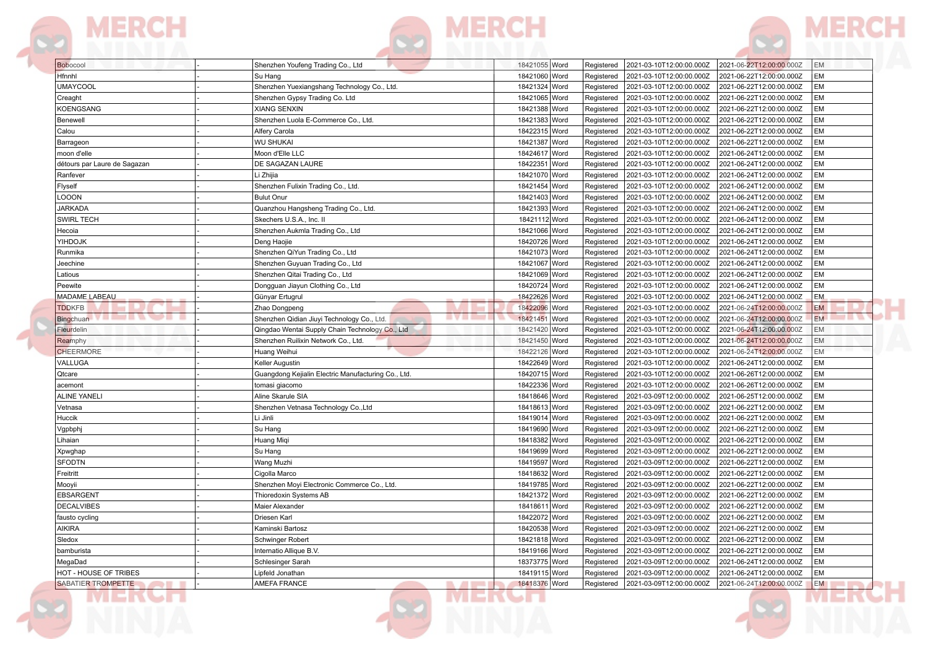



| Bobocool                     | Shenzhen Youfeng Trading Co., Ltd                     | 18421055 Word | 2021-03-10T12:00:00.000Z<br>Registered | 2021-06-22T12:00:00.000Z<br><b>EM</b>       |  |
|------------------------------|-------------------------------------------------------|---------------|----------------------------------------|---------------------------------------------|--|
| Hfnnhl                       | Su Hang                                               | 18421060 Word | 2021-03-10T12:00:00.000Z<br>Registered | 2021-06-22T12:00:00.000Z<br><b>EM</b>       |  |
| <b>UMAYCOOL</b>              | Shenzhen Yuexiangshang Technology Co., Ltd.           | 18421324 Word | Registered<br>2021-03-10T12:00:00.000Z | 2021-06-22T12:00:00.000Z<br>EM              |  |
| Creaght                      | Shenzhen Gypsy Trading Co. Ltd                        | 18421065 Word | Registered<br>2021-03-10T12:00:00.000Z | EM<br>2021-06-22T12:00:00.000Z              |  |
| <b>KOENGSANG</b>             | <b>XIANG SENXIN</b>                                   | 18421388 Word | 2021-03-10T12:00:00.000Z<br>Registered | 2021-06-22T12:00:00.000Z<br>EM              |  |
| Benewell                     | Shenzhen Luola E-Commerce Co., Ltd.                   | 18421383 Word | 2021-03-10T12:00:00.000Z<br>Registered | 2021-06-22T12:00:00.000Z<br>EM              |  |
| Calou                        | Alfery Carola                                         | 18422315 Word | Registered<br>2021-03-10T12:00:00.000Z | EM<br>2021-06-22T12:00:00.000Z              |  |
| Barrageon                    | <b>WU SHUKAI</b>                                      | 18421387 Word | Registered<br>2021-03-10T12:00:00.000Z | EM<br>2021-06-22T12:00:00.000Z              |  |
| moon d'elle                  | Moon d'Elle LLC                                       | 18424617 Word | Registered<br>2021-03-10T12:00:00.000Z | EM<br>2021-06-24T12:00:00.000Z              |  |
| détours par Laure de Sagazan | DE SAGAZAN LAURE                                      | 18422351 Word | Registered<br>2021-03-10T12:00:00.000Z | EM<br>2021-06-24T12:00:00.000Z              |  |
| Ranfever                     | Li Zhijia                                             | 18421070 Word | 2021-03-10T12:00:00.000Z<br>Registered | EM<br>2021-06-24T12:00:00.000Z              |  |
| Flyself                      | Shenzhen Fulixin Trading Co., Ltd.                    | 18421454 Word | 2021-03-10T12:00:00.000Z<br>Registered | 2021-06-24T12:00:00.000Z<br>EM              |  |
| LOOON                        | <b>Bulut Onur</b>                                     | 18421403 Word | Registered<br>2021-03-10T12:00:00.000Z | EM<br>2021-06-24T12:00:00.000Z              |  |
| <b>JARKADA</b>               | Quanzhou Hangsheng Trading Co., Ltd.                  | 18421393 Word | Registered<br>2021-03-10T12:00:00.000Z | EM<br>2021-06-24T12:00:00.000Z              |  |
| <b>SWIRL TECH</b>            | Skechers U.S.A., Inc. II                              | 18421112 Word | 2021-03-10T12:00:00.000Z<br>Registered | 2021-06-24T12:00:00.000Z<br>EM              |  |
| Hecoia                       | Shenzhen Aukmla Trading Co., Ltd                      | 18421066 Word | Registered<br>2021-03-10T12:00:00.000Z | EM<br>2021-06-24T12:00:00.000Z              |  |
| YIHDOJK                      | Deng Haojie                                           | 18420726 Word | 2021-03-10T12:00:00.000Z<br>Registered | EM<br>2021-06-24T12:00:00.000Z              |  |
| Runmika                      | Shenzhen QiYun Trading Co., Ltd                       | 18421073 Word | 2021-03-10T12:00:00.000Z<br>Registered | 2021-06-24T12:00:00.000Z<br>EM              |  |
| Jeechine                     | Shenzhen Guyuan Trading Co., Ltd                      | 18421067 Word | Registered<br>2021-03-10T12:00:00.000Z | EM<br>2021-06-24T12:00:00.000Z              |  |
| Latious                      | Shenzhen Qitai Trading Co., Ltd                       | 18421069 Word | Registered<br>2021-03-10T12:00:00.000Z | EM<br>2021-06-24T12:00:00.000Z              |  |
| Peewite                      | Dongquan Jiayun Clothing Co., Ltd                     | 18420724 Word | Registered<br>2021-03-10T12:00:00.000Z | 2021-06-24T12:00:00.000Z<br>EM              |  |
| MADAME LABEAU                | Günyar Ertugrul                                       | 18422626 Word | Registered<br>2021-03-10T12:00:00.000Z | <b>EM</b><br>2021-06-24T12:00:00.000Z       |  |
| <b>TDDKFB</b>                | Zhao Dongpeng                                         | 18422096 Word | Registered<br>2021-03-10T12:00:00.000Z | <b>EM</b><br>2021-06-24T12:00:00.000Z       |  |
| ,,,,,,,,,,<br>Bingchuan      | 8 Y 8 H<br>Shenzhen Qidian Jiuyi Technology Co., Ltd. | 18421451 Word | Registered<br>2021-03-10T12:00:00.000Z | EM.<br>2021-06-24T12:00:00.000Z             |  |
| Fleurdelin                   | Qingdao Wentai Supply Chain Technology Co., Ltd       | 18421420 Word | Registered<br>2021-03-10T12:00:00.000Z | 2021-06-24T12:00:00.000Z<br><b>EM</b>       |  |
| Reamphy                      | Shenzhen Ruilixin Network Co., Ltd.                   | 18421450 Word | Registered<br>2021-03-10T12:00:00.000Z | 2021-06-24T12:00:00.000Z<br>EM              |  |
| <b>CHEERMORE</b>             | Huang Weihui                                          | 18422126 Word | Registered<br>2021-03-10T12:00:00.000Z | 2021-06-24T12:00:00.000Z<br><b>EM</b>       |  |
| VALLUGA                      | Keller Augustin                                       | 18422649 Word | Registered<br>2021-03-10T12:00:00.000Z | EM<br>2021-06-24T12:00:00.000Z              |  |
| Qtcare                       | Guangdong Kejialin Electric Manufacturing Co., Ltd.   | 18420715 Word | Registered<br>2021-03-10T12:00:00.000Z | EM<br>2021-06-26T12:00:00.000Z              |  |
| acemont                      | tomasi giacomo                                        | 18422336 Word | 2021-03-10T12:00:00.000Z<br>Registered | 2021-06-26T12:00:00.000Z<br>EM              |  |
| <b>ALINE YANELI</b>          | Aline Skarule SIA                                     | 18418646 Word | Registered<br>2021-03-09T12:00:00.000Z | EM<br>2021-06-25T12:00:00.000Z              |  |
| Vetnasa                      | Shenzhen Vetnasa Technology Co., Ltd                  | 18418613 Word | Registered<br>2021-03-09T12:00:00.000Z | 2021-06-22T12:00:00.000Z<br>EM              |  |
| Huccik                       | Li Jinli                                              | 18419014 Word | 2021-03-09T12:00:00.000Z<br>Registered | 2021-06-22T12:00:00.000Z<br>EM              |  |
| Vgpbphj                      | Su Hang                                               | 18419690 Word | Registered<br>2021-03-09T12:00:00.000Z | 2021-06-22T12:00:00.000Z<br>EM              |  |
| Lihaian                      | Huang Miqi                                            | 18418382 Word | Registered<br>2021-03-09T12:00:00.000Z | 2021-06-22T12:00:00.000Z<br>EM              |  |
| Xpwghap                      | Su Hang                                               | 18419699 Word | 2021-03-09T12:00:00.000Z<br>Registered | EM<br>2021-06-22T12:00:00.000Z              |  |
| <b>SFODTN</b>                | Wang Muzhi                                            | 18419597 Word | Registered<br>2021-03-09T12:00:00.000Z | EM<br>2021-06-22T12:00:00.000Z              |  |
| Freitritt                    | Cigolla Marco                                         | 18418632 Word | Registered<br>2021-03-09T12:00:00.000Z | 2021-06-22T12:00:00.000Z<br>EM              |  |
| Mooyii                       | Shenzhen Moyi Electronic Commerce Co., Ltd.           | 18419785 Word | 2021-03-09T12:00:00.000Z<br>Registered | 2021-06-22T12:00:00.000Z<br>EM              |  |
| EBSARGENT                    | Thioredoxin Systems AB                                | 18421372 Word | Registered<br>2021-03-09T12:00:00.000Z | EM<br>2021-06-22T12:00:00.000Z              |  |
| <b>DECALVIBES</b>            | Maier Alexander                                       | 18418611 Word | Registered<br>2021-03-09T12:00:00.000Z | EM<br>2021-06-22T12:00:00.000Z              |  |
| fausto cycling               | Driesen Karl                                          | 18422072 Word | 2021-03-09T12:00:00.000Z<br>Registered | EM<br>2021-06-22T12:00:00.000Z              |  |
| AIKIRA                       | Kaminski Bartosz                                      | 18420538 Word | Registered<br>2021-03-09T12:00:00.000Z | EM<br>2021-06-22T12:00:00.000Z              |  |
| Sledox                       | Schwinger Robert                                      | 18421818 Word | 2021-03-09T12:00:00.000Z<br>Registered | 2021-06-22T12:00:00.000Z<br><b>EM</b>       |  |
| bamburista                   | Internatio Allique B.V.                               | 18419166 Word | Registered<br>2021-03-09T12:00:00.000Z | EM<br>2021-06-22T12:00:00.000Z              |  |
| MegaDad                      | Schlesinger Sarah                                     | 18373775 Word | 2021-03-09T12:00:00.000Z<br>Registered | EM<br>2021-06-24T12:00:00.000Z              |  |
| HOT - HOUSE OF TRIBES        | Lipfeld Jonathan                                      | 18419115 Word | 2021-03-09T12:00:00.000Z<br>Registered | 2021-06-24T12:00:00.000Z<br>EM              |  |
| <b>SABATIER TROMPETTE</b>    | AMEFA FRANCE<br><b>College Street</b><br>m.           | 18418376 Word | 2021-03-09T12:00:00.000Z<br>Registered | 2021-06-24T12:00:00.000Z<br>EM <sub>1</sub> |  |
|                              |                                                       |               |                                        |                                             |  |





82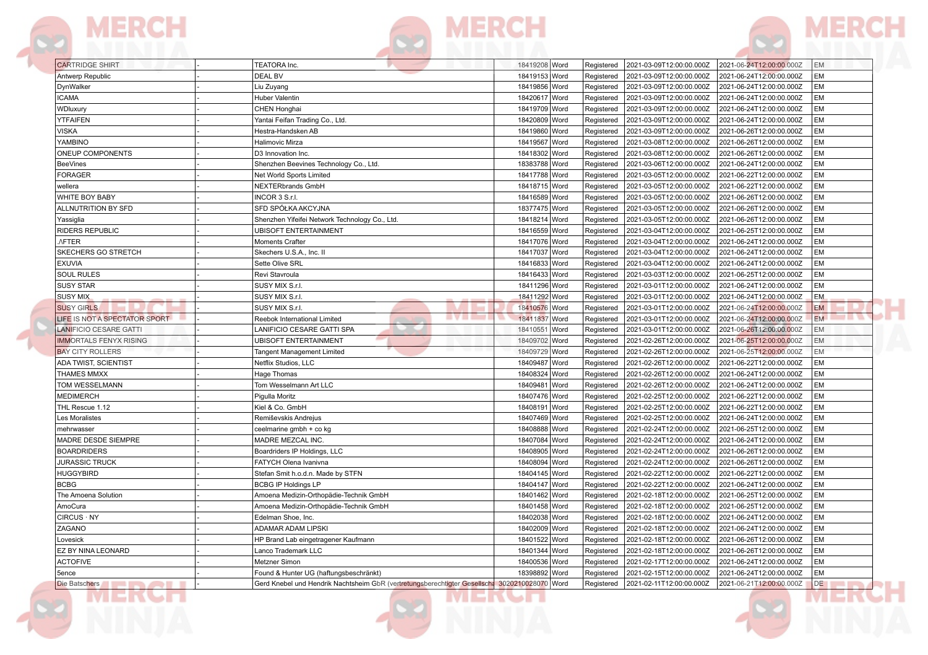## **MERCH**

MERGH

TEATORA Inc.

CARTRIDGE SHIRT

| Antwerp Republic                          | <b>DEAL BV</b>                                                                                | 18419153 Word           | Registered | 2021-03-09T12:00:00.000Z | 2021-06-24T12:00:00.000Z | EM        |  |
|-------------------------------------------|-----------------------------------------------------------------------------------------------|-------------------------|------------|--------------------------|--------------------------|-----------|--|
| DynWalker                                 | Liu Zuyang                                                                                    | 18419856 Word           | Registered | 2021-03-09T12:00:00.000Z | 2021-06-24T12:00:00.000Z | EM        |  |
| <b>ICAMA</b>                              | Huber Valentin                                                                                | 18420617 Word           | Registered | 2021-03-09T12:00:00.000Z | 2021-06-24T12:00:00.000Z | EM        |  |
| WDluxury                                  | CHEN Honghai                                                                                  | 18419709 Word           | Registered | 2021-03-09T12:00:00.000Z | 2021-06-24T12:00:00.000Z | EM        |  |
| <b>YTFAIFEN</b>                           | Yantai Feifan Trading Co., Ltd.                                                               | 18420809 Word           | Registered | 2021-03-09T12:00:00.000Z | 2021-06-24T12:00:00.000Z | EM        |  |
| <b>VISKA</b>                              | Hestra-Handsken AB                                                                            | 18419860 Word           | Registered | 2021-03-09T12:00:00.000Z | 2021-06-26T12:00:00.000Z | EM        |  |
| YAMBINO                                   | <b>Halimovic Mirza</b>                                                                        | 18419567 Word           | Registered | 2021-03-08T12:00:00.000Z | 2021-06-26T12:00:00.000Z | EM        |  |
| ONEUP COMPONENTS                          | D3 Innovation Inc.                                                                            | 18418302 Word           | Registered | 2021-03-08T12:00:00.000Z | 2021-06-26T12:00:00.000Z | EM        |  |
| <b>BeeVines</b>                           | Shenzhen Beevines Technology Co., Ltd.                                                        | 18383788 Word           | Registered | 2021-03-06T12:00:00.000Z | 2021-06-24T12:00:00.000Z | EM        |  |
| <b>FORAGER</b>                            | Net World Sports Limited                                                                      | 18417788<br> Word       | Registered | 2021-03-05T12:00:00.000Z | 2021-06-22T12:00:00.000Z | EM        |  |
| wellera                                   | <b>NEXTERbrands GmbH</b>                                                                      | 18418715 Word           | Registered | 2021-03-05T12:00:00.000Z | 2021-06-22T12:00:00.000Z | EM        |  |
| WHITE BOY BABY                            | INCOR 3 S.r.I.                                                                                | 18416589 Word           | Registered | 2021-03-05T12:00:00.000Z | 2021-06-26T12:00:00.000Z | EM        |  |
| ALLNUTRITION BY SFD                       | SFD SPÓŁKA AKCYJNA                                                                            | 18377475 Word           | Registered | 2021-03-05T12:00:00.000Z | 2021-06-26T12:00:00.000Z | EM        |  |
| Yassiglia                                 | Shenzhen Yifeifei Network Technology Co., Ltd                                                 | 18418214 Word           | Registered | 2021-03-05T12:00:00.000Z | 2021-06-26T12:00:00.000Z | EM        |  |
| RIDERS REPUBLIC                           | <b>UBISOFT ENTERTAINMENT</b>                                                                  | 18416559 Word           | Registered | 2021-03-04T12:00:00.000Z | 2021-06-25T12:00:00.000Z | EM        |  |
| ./FTER                                    | <b>Moments Crafter</b>                                                                        | 18417076 Word           | Registered | 2021-03-04T12:00:00.000Z | 2021-06-24T12:00:00.000Z | EM        |  |
| SKECHERS GO STRETCH                       | Skechers U.S.A., Inc. II                                                                      | 18417037 Word           | Registered | 2021-03-04T12:00:00.000Z | 2021-06-24T12:00:00.000Z | <b>EM</b> |  |
| <b>EXUVIA</b>                             | Sette Olive SRL                                                                               | 18416833 Word           | Registered | 2021-03-04T12:00:00.000Z | 2021-06-24T12:00:00.000Z | EM        |  |
| <b>SOUL RULES</b>                         | Revi Stavroula                                                                                | 18416433 Word           | Registered | 2021-03-03T12:00:00.000Z | 2021-06-25T12:00:00.000Z | EM        |  |
| <b>SUSY STAR</b>                          | SUSY MIX S.r.l.                                                                               | 18411296 Word           | Registered | 2021-03-01T12:00:00.000Z | 2021-06-24T12:00:00.000Z | EM        |  |
| <b>SUSY MIX</b>                           | SUSY MIX S.r.I.                                                                               | 18411292 Word           | Registered | 2021-03-01T12:00:00.000Z | 2021-06-24T12:00:00.000Z | <b>EM</b> |  |
| <b>SUSY GIRLS</b>                         | SUSY MIX S.r.I.                                                                               | 18410576 Word           | Registered | 2021-03-01T12:00:00.000Z | 2021-06-24T12:00:00.000Z | <b>EM</b> |  |
| LIFE IS NOT A SPECTATOR SPORT             | <b>IVILLE</b><br>Reebok International Limited                                                 | 18411837 Word           | Registered | 2021-03-01T12:00:00.000Z | 2021-06-24T12:00:00.000Z | EM.       |  |
| <b>LANIFICIO CESARE GATTI</b>             | LANIFICIO CESARE GATTI SPA                                                                    | 18410551 Word           | Registered | 2021-03-01T12:00:00.000Z | 2021-06-26T12:00:00.000Z | <b>EM</b> |  |
| <b>IMMORTALS FENYX RISING</b>             | <b>UBISOFT ENTERTAINMENT</b>                                                                  | 18409702 Word           | Registered | 2021-02-26T12:00:00.000Z | 2021-06-25T12:00:00.000Z | EM        |  |
| <b>BAY CITY ROLLERS</b>                   | Tangent Management Limited                                                                    | 18409729 Word           | Registered | 2021-02-26T12:00:00.000Z | 2021-06-25T12:00:00.000Z | EM        |  |
| ADA TWIST, SCIENTIST                      | Netflix Studios, LLC                                                                          | 18409487<br><b>Word</b> | Registered | 2021-02-26T12:00:00.000Z | 2021-06-22T12:00:00.000Z | EM        |  |
| <b>THAMES MMXX</b>                        | Hage Thomas                                                                                   | 18408324<br> Word       | Registered | 2021-02-26T12:00:00.000Z | 2021-06-24T12:00:00.000Z | EM        |  |
| TOM WESSELMANN                            | Tom Wesselmann Art LLC                                                                        | 18409481<br>Word        | Registered | 2021-02-26T12:00:00.000Z | 2021-06-24T12:00:00.000Z | EM        |  |
| <b>MEDIMERCH</b>                          | Pigulla Moritz                                                                                | 18407476 Word           | Registered | 2021-02-25T12:00:00.000Z | 2021-06-22T12:00:00.000Z | EM        |  |
| THL Rescue 1.12                           | Kiel & Co. GmbH                                                                               | 18408191 Word           | Registered | 2021-02-25T12:00:00.000Z | 2021-06-22T12:00:00.000Z | EM        |  |
| Les Moralistes                            | Remiševskis Andrejus                                                                          | 18407469 Word           | Registered | 2021-02-25T12:00:00.000Z | 2021-06-24T12:00:00.000Z | EM        |  |
| mehrwasser                                | ceelmarine gmbh + co kg                                                                       | 18408888 Word           | Registered | 2021-02-24T12:00:00.000Z | 2021-06-25T12:00:00.000Z | EM        |  |
| MADRE DESDE SIEMPRE                       | MADRE MEZCAL INC                                                                              | 18407084 Word           | Registered | 2021-02-24T12:00:00.000Z | 2021-06-24T12:00:00.000Z | EM        |  |
| <b>BOARDRIDERS</b>                        | Boardriders IP Holdings, LLC                                                                  | 18408905 Word           | Registered | 2021-02-24T12:00:00.000Z | 2021-06-26T12:00:00.000Z | EM        |  |
| <b>JURASSIC TRUCK</b>                     | FATYCH Olena Ivanivna                                                                         | 18408094<br><b>Word</b> | Registered | 2021-02-24T12:00:00.000Z | 2021-06-26T12:00:00.000Z | EM        |  |
| <b>HUGGYBIRD</b>                          | Stefan Smit h.o.d.n. Made by STFN                                                             | 18404145 Word           | Registered | 2021-02-22T12:00:00.000Z | 2021-06-22T12:00:00.000Z | EM        |  |
| <b>BCBG</b>                               | <b>BCBG IP Holdings LP</b>                                                                    | 18404147<br>Word        | Registered | 2021-02-22T12:00:00.000Z | 2021-06-24T12:00:00.000Z | EM        |  |
| The Amoena Solution                       | Amoena Medizin-Orthopädie-Technik GmbH                                                        | 18401462 Word           | Registered | 2021-02-18T12:00:00.000Z | 2021-06-25T12:00:00.000Z | EM        |  |
| AmoCura                                   | Amoena Medizin-Orthopädie-Technik GmbH                                                        | 18401458 Word           | Registered | 2021-02-18T12:00:00.000Z | 2021-06-25T12:00:00.000Z | EM        |  |
| CIRCUS : NY                               | Edelman Shoe, Inc.                                                                            | 18402038 Word           | Registered | 2021-02-18T12:00:00.000Z | 2021-06-24T12:00:00.000Z | EM        |  |
| ZAGANO                                    | ADAMAR ADAM LIPSKI                                                                            | 18402009 Word           | Registered | 2021-02-18T12:00:00.000Z | 2021-06-24T12:00:00.000Z | EM        |  |
| Lovesick                                  | HP Brand Lab eingetragener Kaufmann                                                           | 18401522 Word           | Registered | 2021-02-18T12:00:00.000Z | 2021-06-26T12:00:00.000Z | EM        |  |
| EZ BY NINA LEONARD                        | Lanco Trademark LLC                                                                           | 18401344 Word           | Registered | 2021-02-18T12:00:00.000Z | 2021-06-26T12:00:00.000Z | EM        |  |
| <b>ACTOFIVE</b>                           | <b>Metzner Simon</b>                                                                          | 18400536<br> Word       | Registered | 2021-02-17T12:00:00.000Z | 2021-06-24T12:00:00.000Z | EM        |  |
| 5ence                                     | Found & Hunter UG (haftungsbeschränkt)                                                        | 18398892 Word           | Registered | 2021-02-15T12:00:00.000Z | 2021-06-24T12:00:00.000Z | EM        |  |
| Die Batschers<br><b>But the second in</b> | Gerd Knebel und Hendrik Nachtsheim GbR (vertretungsberechtigter Gesellscha 3020210028070 Word |                         | Registered | 2021-02-11T12:00:00.000Z | 2021-06-21T12:00:00.000Z | DE        |  |
|                                           |                                                                                               |                         |            |                          |                          |           |  |

**MERCH** 

18419208 Word

Registered

2021-03-09T12:00:00.000Z

MER

EM

ME:

2021-06-24T12:00:00.000Z